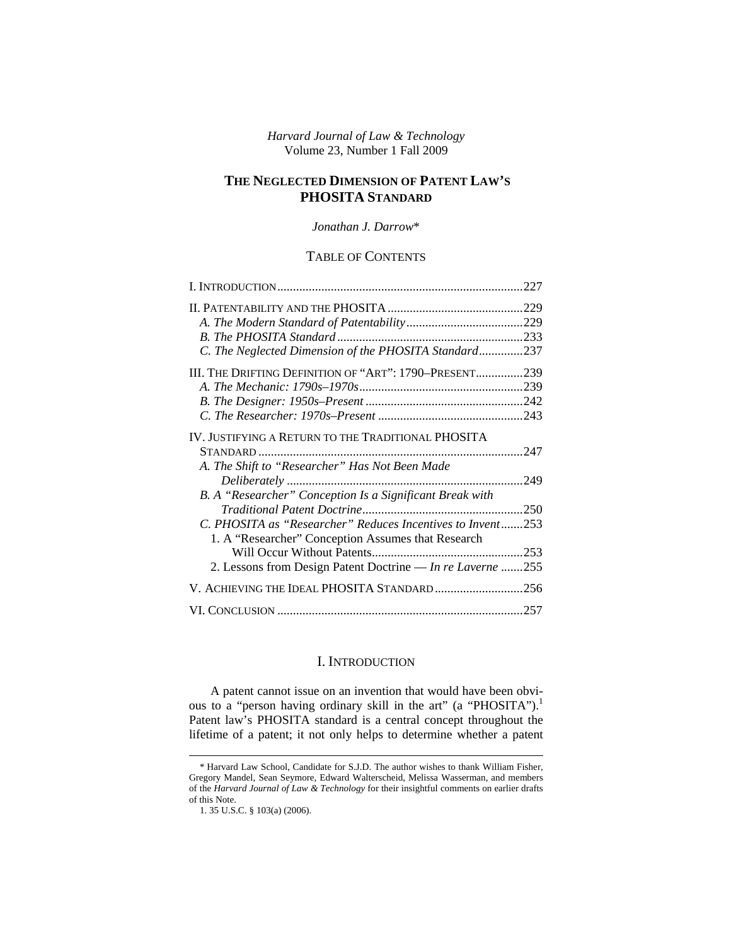*Harvard Journal of Law & Technology*  Volume 23, Number 1 Fall 2009

# **THE NEGLECTED DIMENSION OF PATENT LAW'S PHOSITA STANDARD**

### *Jonathan J. Darrow*\*

# TABLE OF CONTENTS

| .227                                                       |
|------------------------------------------------------------|
|                                                            |
|                                                            |
|                                                            |
| C. The Neglected Dimension of the PHOSITA Standard237      |
| III. THE DRIFTING DEFINITION OF "ART": 1790–PRESENT239     |
|                                                            |
|                                                            |
|                                                            |
| .247                                                       |
|                                                            |
| .249                                                       |
|                                                            |
| .250                                                       |
| C. PHOSITA as "Researcher" Reduces Incentives to Invent253 |
|                                                            |
|                                                            |
| 2. Lessons from Design Patent Doctrine — In re Laverne 255 |
| V. ACHIEVING THE IDEAL PHOSITA STANDARD256                 |
| .257                                                       |
|                                                            |

# I. INTRODUCTION

A patent cannot issue on an invention that would have been obvious to a "person having ordinary skill in the art" (a "PHOSITA").<sup>1</sup> Patent law's PHOSITA standard is a central concept throughout the lifetime of a patent; it not only helps to determine whether a patent

<sup>\*</sup> Harvard Law School, Candidate for S.J.D. The author wishes to thank William Fisher, Gregory Mandel, Sean Seymore, Edward Walterscheid, Melissa Wasserman, and members of the *Harvard Journal of Law & Technology* for their insightful comments on earlier drafts of this Note.

<sup>1. 35</sup> U.S.C. § 103(a) (2006).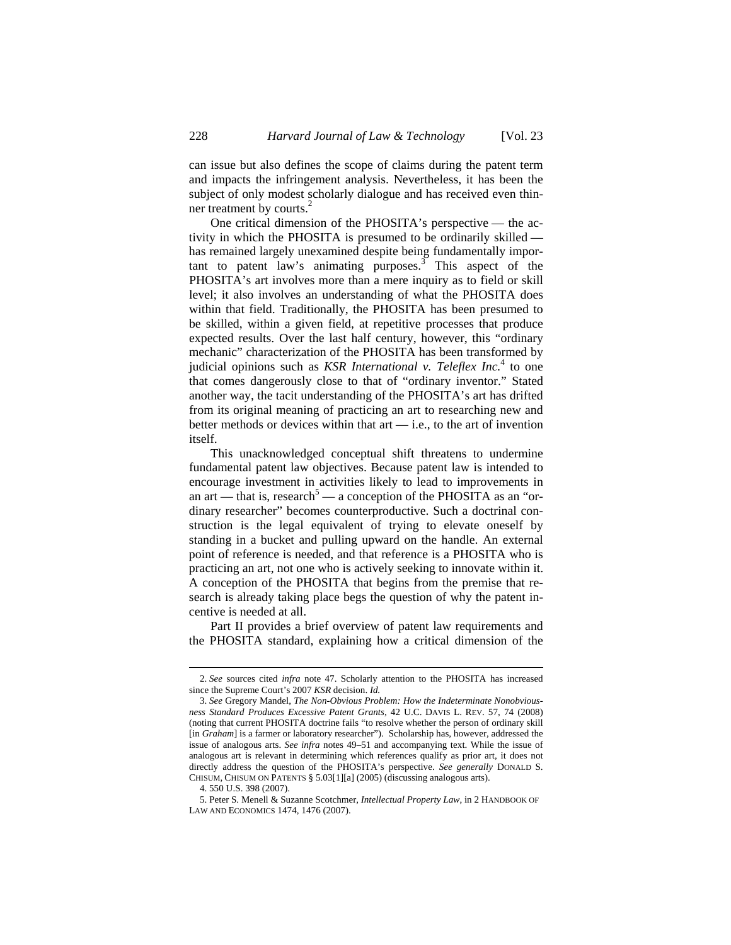can issue but also defines the scope of claims during the patent term and impacts the infringement analysis. Nevertheless, it has been the subject of only modest scholarly dialogue and has received even thinner treatment by courts.<sup>2</sup>

One critical dimension of the PHOSITA's perspective — the activity in which the PHOSITA is presumed to be ordinarily skilled has remained largely unexamined despite being fundamentally important to patent law's animating purposes.<sup>3</sup> This aspect of the PHOSITA's art involves more than a mere inquiry as to field or skill level; it also involves an understanding of what the PHOSITA does within that field. Traditionally, the PHOSITA has been presumed to be skilled, within a given field, at repetitive processes that produce expected results. Over the last half century, however, this "ordinary mechanic" characterization of the PHOSITA has been transformed by judicial opinions such as *KSR International v. Teleflex Inc.*<sup>4</sup> to one that comes dangerously close to that of "ordinary inventor." Stated another way, the tacit understanding of the PHOSITA's art has drifted from its original meaning of practicing an art to researching new and better methods or devices within that  $art$  — i.e., to the art of invention itself.

This unacknowledged conceptual shift threatens to undermine fundamental patent law objectives. Because patent law is intended to encourage investment in activities likely to lead to improvements in an art — that is, research<sup>5</sup> — a conception of the PHOSITA as an "ordinary researcher" becomes counterproductive. Such a doctrinal construction is the legal equivalent of trying to elevate oneself by standing in a bucket and pulling upward on the handle. An external point of reference is needed, and that reference is a PHOSITA who is practicing an art, not one who is actively seeking to innovate within it. A conception of the PHOSITA that begins from the premise that research is already taking place begs the question of why the patent incentive is needed at all.

Part II provides a brief overview of patent law requirements and the PHOSITA standard, explaining how a critical dimension of the

<sup>2.</sup> *See* sources cited *infra* note 47. Scholarly attention to the PHOSITA has increased since the Supreme Court's 2007 *KSR* decision. *Id.*

<sup>3.</sup> *See* Gregory Mandel, *The Non-Obvious Problem: How the Indeterminate Nonobviousness Standard Produces Excessive Patent Grants*, 42 U.C. DAVIS L. REV. 57, 74 (2008) (noting that current PHOSITA doctrine fails "to resolve whether the person of ordinary skill [in *Graham*] is a farmer or laboratory researcher"). Scholarship has, however, addressed the issue of analogous arts. *See infra* notes 49–51 and accompanying text. While the issue of analogous art is relevant in determining which references qualify as prior art, it does not directly address the question of the PHOSITA's perspective. *See generally* DONALD S. CHISUM, CHISUM ON PATENTS § 5.03[1][a] (2005) (discussing analogous arts).

<sup>4. 550</sup> U.S. 398 (2007).

<sup>5.</sup> Peter S. Menell & Suzanne Scotchmer, *Intellectual Property Law*, in 2 HANDBOOK OF LAW AND ECONOMICS 1474, 1476 (2007).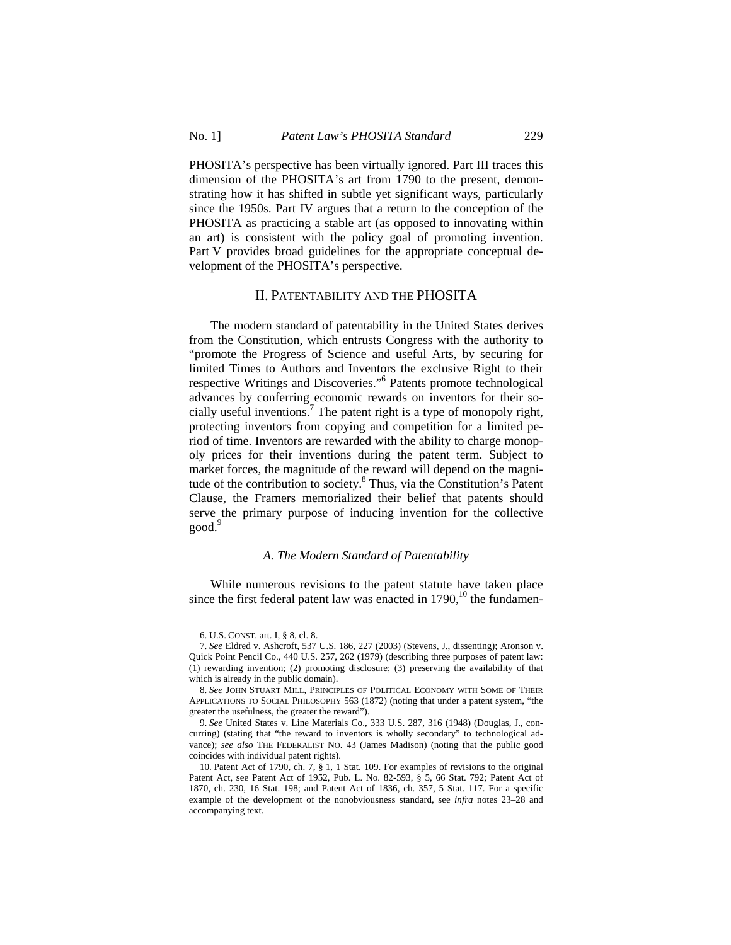PHOSITA's perspective has been virtually ignored. Part III traces this dimension of the PHOSITA's art from 1790 to the present, demonstrating how it has shifted in subtle yet significant ways, particularly since the 1950s. Part IV argues that a return to the conception of the PHOSITA as practicing a stable art (as opposed to innovating within an art) is consistent with the policy goal of promoting invention. Part V provides broad guidelines for the appropriate conceptual development of the PHOSITA's perspective.

### II. PATENTABILITY AND THE PHOSITA

The modern standard of patentability in the United States derives from the Constitution, which entrusts Congress with the authority to "promote the Progress of Science and useful Arts, by securing for limited Times to Authors and Inventors the exclusive Right to their respective Writings and Discoveries."6 Patents promote technological advances by conferring economic rewards on inventors for their socially useful inventions.<sup>7</sup> The patent right is a type of monopoly right, protecting inventors from copying and competition for a limited period of time. Inventors are rewarded with the ability to charge monopoly prices for their inventions during the patent term. Subject to market forces, the magnitude of the reward will depend on the magnitude of the contribution to society.8 Thus, via the Constitution's Patent Clause, the Framers memorialized their belief that patents should serve the primary purpose of inducing invention for the collective good.<sup>9</sup>

#### *A. The Modern Standard of Patentability*

While numerous revisions to the patent statute have taken place since the first federal patent law was enacted in  $1790$ ,<sup>10</sup> the fundamen-

<sup>6.</sup> U.S. CONST. art. I, § 8, cl. 8.

<sup>7.</sup> *See* Eldred v. Ashcroft, 537 U.S. 186, 227 (2003) (Stevens, J., dissenting); Aronson v. Quick Point Pencil Co., 440 U.S. 257, 262 (1979) (describing three purposes of patent law: (1) rewarding invention; (2) promoting disclosure; (3) preserving the availability of that which is already in the public domain).

<sup>8.</sup> *See* JOHN STUART MILL, PRINCIPLES OF POLITICAL ECONOMY WITH SOME OF THEIR APPLICATIONS TO SOCIAL PHILOSOPHY 563 (1872) (noting that under a patent system, "the greater the usefulness, the greater the reward").

<sup>9.</sup> *See* United States v. Line Materials Co., 333 U.S. 287, 316 (1948) (Douglas, J., concurring) (stating that "the reward to inventors is wholly secondary" to technological advance); *see also* THE FEDERALIST NO. 43 (James Madison) (noting that the public good coincides with individual patent rights).

<sup>10.</sup> Patent Act of 1790, ch. 7, § 1, 1 Stat. 109. For examples of revisions to the original Patent Act, see Patent Act of 1952, Pub. L. No. 82-593, § 5, 66 Stat. 792; Patent Act of 1870, ch. 230, 16 Stat. 198; and Patent Act of 1836, ch. 357, 5 Stat. 117. For a specific example of the development of the nonobviousness standard, see *infra* notes 23–28 and accompanying text.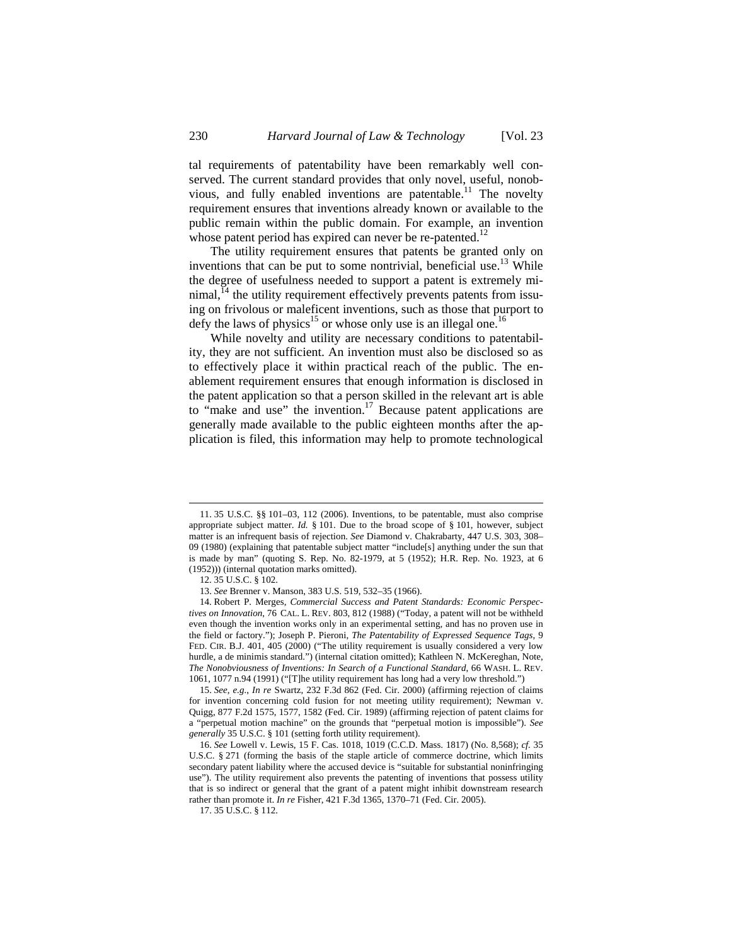tal requirements of patentability have been remarkably well conserved. The current standard provides that only novel, useful, nonobvious, and fully enabled inventions are patentable.<sup>11</sup> The novelty requirement ensures that inventions already known or available to the public remain within the public domain. For example, an invention whose patent period has expired can never be re-patented.<sup>12</sup>

The utility requirement ensures that patents be granted only on inventions that can be put to some nontrivial, beneficial use.<sup>13</sup> While the degree of usefulness needed to support a patent is extremely mi $n$ imal, $<sup>14</sup>$  the utility requirement effectively prevents patents from issu-</sup> ing on frivolous or maleficent inventions, such as those that purport to defy the laws of physics<sup>15</sup> or whose only use is an illegal one.<sup>16</sup>

While novelty and utility are necessary conditions to patentability, they are not sufficient. An invention must also be disclosed so as to effectively place it within practical reach of the public. The enablement requirement ensures that enough information is disclosed in the patent application so that a person skilled in the relevant art is able to "make and use" the invention.<sup>17</sup> Because patent applications are generally made available to the public eighteen months after the application is filed, this information may help to promote technological

<sup>11. 35</sup> U.S.C. §§ 101–03, 112 (2006). Inventions, to be patentable, must also comprise appropriate subject matter. *Id.* § 101. Due to the broad scope of § 101, however, subject matter is an infrequent basis of rejection. *See* Diamond v. Chakrabarty, 447 U.S. 303, 308– 09 (1980) (explaining that patentable subject matter "include[s] anything under the sun that is made by man" (quoting S. Rep. No. 82-1979, at 5 (1952); H.R. Rep. No. 1923, at 6 (1952))) (internal quotation marks omitted).

<sup>12. 35</sup> U.S.C. § 102.

<sup>13.</sup> *See* Brenner v. Manson, 383 U.S. 519, 532–35 (1966).

<sup>14.</sup> Robert P. Merges, *Commercial Success and Patent Standards: Economic Perspectives on Innovation*, 76 CAL. L. REV. 803, 812 (1988) ("Today, a patent will not be withheld even though the invention works only in an experimental setting, and has no proven use in the field or factory."); Joseph P. Pieroni, *The Patentability of Expressed Sequence Tags*, 9 FED. CIR. B.J. 401, 405 (2000) ("The utility requirement is usually considered a very low hurdle, a de minimis standard.") (internal citation omitted); Kathleen N. McKereghan, Note, *The Nonobviousness of Inventions: In Search of a Functional Standard*, 66 WASH. L. REV. 1061, 1077 n.94 (1991) ("[T]he utility requirement has long had a very low threshold.")

<sup>15.</sup> *See, e.g.*, *In re* Swartz, 232 F.3d 862 (Fed. Cir. 2000) (affirming rejection of claims for invention concerning cold fusion for not meeting utility requirement); Newman v. Quigg, 877 F.2d 1575, 1577, 1582 (Fed. Cir. 1989) (affirming rejection of patent claims for a "perpetual motion machine" on the grounds that "perpetual motion is impossible"). *See generally* 35 U.S.C. § 101 (setting forth utility requirement).

<sup>16.</sup> *See* Lowell v. Lewis, 15 F. Cas. 1018, 1019 (C.C.D. Mass. 1817) (No. 8,568); *cf.* 35 U.S.C. § 271 (forming the basis of the staple article of commerce doctrine, which limits secondary patent liability where the accused device is "suitable for substantial noninfringing use"). The utility requirement also prevents the patenting of inventions that possess utility that is so indirect or general that the grant of a patent might inhibit downstream research rather than promote it. *In re* Fisher, 421 F.3d 1365, 1370–71 (Fed. Cir. 2005).

<sup>17. 35</sup> U.S.C. § 112.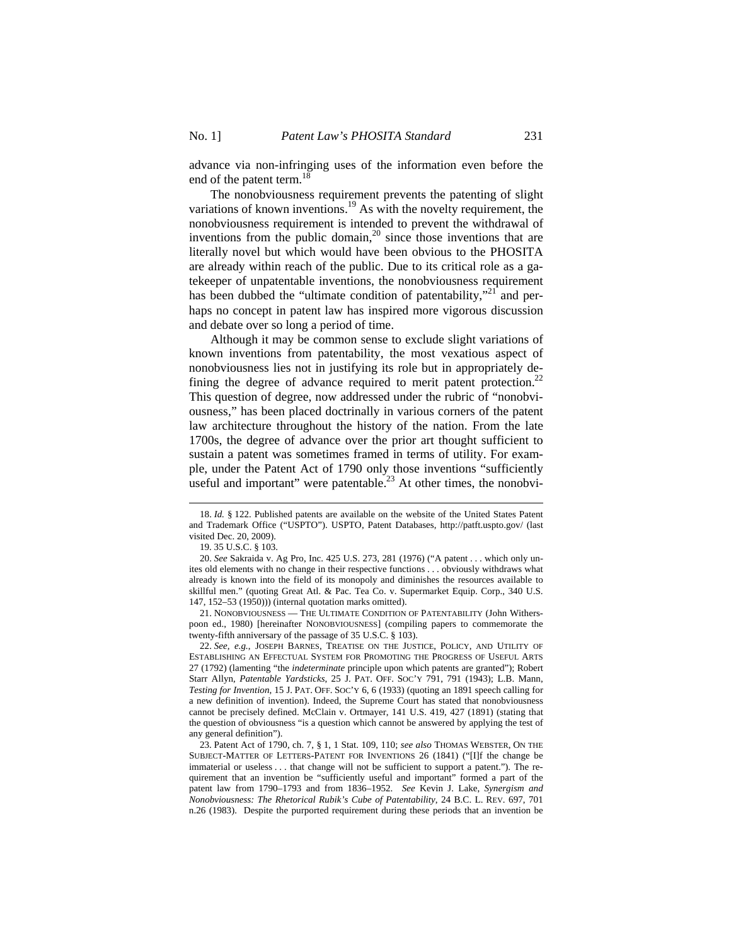advance via non-infringing uses of the information even before the end of the patent term.<sup>18</sup>

The nonobviousness requirement prevents the patenting of slight variations of known inventions.<sup>19</sup> As with the novelty requirement, the nonobviousness requirement is intended to prevent the withdrawal of inventions from the public domain, $^{20}$  since those inventions that are literally novel but which would have been obvious to the PHOSITA are already within reach of the public. Due to its critical role as a gatekeeper of unpatentable inventions, the nonobviousness requirement has been dubbed the "ultimate condition of patentability,"<sup>21</sup> and perhaps no concept in patent law has inspired more vigorous discussion and debate over so long a period of time.

Although it may be common sense to exclude slight variations of known inventions from patentability, the most vexatious aspect of nonobviousness lies not in justifying its role but in appropriately defining the degree of advance required to merit patent protection.<sup>22</sup> This question of degree, now addressed under the rubric of "nonobviousness," has been placed doctrinally in various corners of the patent law architecture throughout the history of the nation. From the late 1700s, the degree of advance over the prior art thought sufficient to sustain a patent was sometimes framed in terms of utility. For example, under the Patent Act of 1790 only those inventions "sufficiently useful and important" were patentable.<sup>23</sup> At other times, the nonobvi-

 $\overline{a}$ 

21. NONOBVIOUSNESS — THE ULTIMATE CONDITION OF PATENTABILITY (John Witherspoon ed., 1980) [hereinafter NONOBVIOUSNESS] (compiling papers to commemorate the twenty-fifth anniversary of the passage of 35 U.S.C. § 103).

22. *See, e.g.*, JOSEPH BARNES, TREATISE ON THE JUSTICE, POLICY, AND UTILITY OF ESTABLISHING AN EFFECTUAL SYSTEM FOR PROMOTING THE PROGRESS OF USEFUL ARTS 27 (1792) (lamenting "the *indeterminate* principle upon which patents are granted"); Robert Starr Allyn, *Patentable Yardsticks*, 25 J. PAT. OFF. SOC'Y 791, 791 (1943); L.B. Mann, *Testing for Invention*, 15 J. PAT. OFF. SOC'Y 6, 6 (1933) (quoting an 1891 speech calling for a new definition of invention). Indeed, the Supreme Court has stated that nonobviousness cannot be precisely defined. McClain v. Ortmayer, 141 U.S. 419, 427 (1891) (stating that the question of obviousness "is a question which cannot be answered by applying the test of any general definition").

23. Patent Act of 1790, ch. 7, § 1, 1 Stat. 109, 110; *see also* THOMAS WEBSTER, ON THE SUBJECT-MATTER OF LETTERS-PATENT FOR INVENTIONS 26 (1841) ("[I]f the change be immaterial or useless . . . that change will not be sufficient to support a patent."). The requirement that an invention be "sufficiently useful and important" formed a part of the patent law from 1790–1793 and from 1836–1952. *See* Kevin J. Lake, *Synergism and Nonobviousness: The Rhetorical Rubik's Cube of Patentability*, 24 B.C. L. REV. 697, 701 n.26 (1983). Despite the purported requirement during these periods that an invention be

<sup>18.</sup> *Id.* § 122. Published patents are available on the website of the United States Patent and Trademark Office ("USPTO"). USPTO, Patent Databases, http://patft.uspto.gov/ (last visited Dec. 20, 2009).

<sup>19. 35</sup> U.S.C. § 103.

<sup>20.</sup> *See* Sakraida v. Ag Pro, Inc. 425 U.S. 273, 281 (1976) ("A patent . . . which only unites old elements with no change in their respective functions . . . obviously withdraws what already is known into the field of its monopoly and diminishes the resources available to skillful men." (quoting Great Atl. & Pac. Tea Co. v. Supermarket Equip. Corp., 340 U.S. 147, 152–53 (1950))) (internal quotation marks omitted).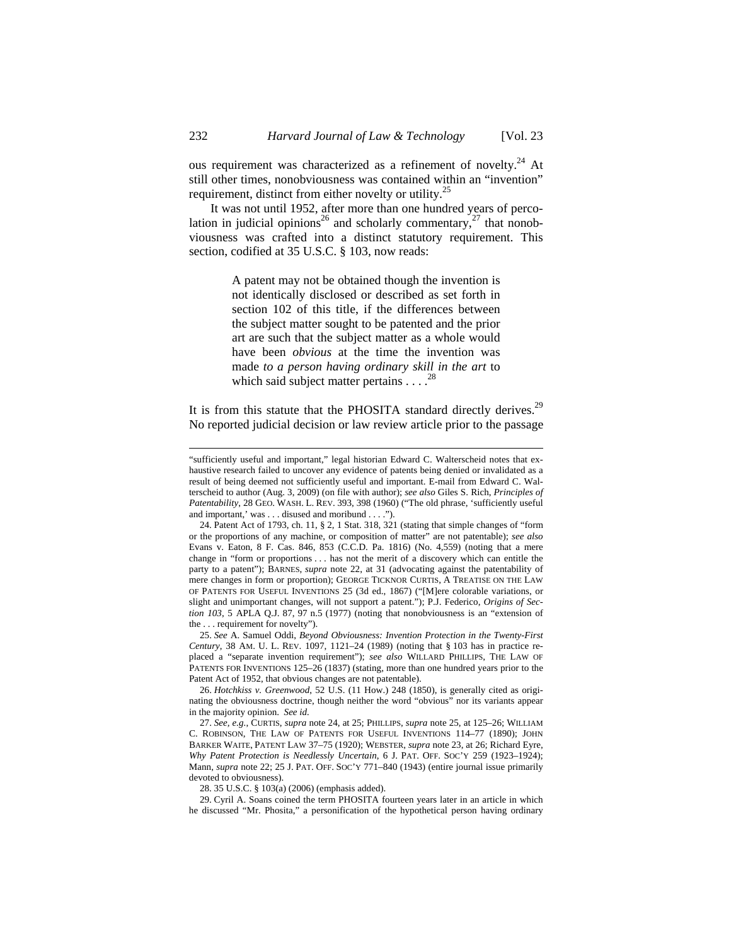ous requirement was characterized as a refinement of novelty.<sup>24</sup> At still other times, nonobviousness was contained within an "invention" requirement, distinct from either novelty or utility.<sup>25</sup>

It was not until 1952, after more than one hundred years of percolation in judicial opinions<sup>26</sup> and scholarly commentary,<sup>27</sup> that nonobviousness was crafted into a distinct statutory requirement. This section, codified at 35 U.S.C. § 103, now reads:

> A patent may not be obtained though the invention is not identically disclosed or described as set forth in section 102 of this title, if the differences between the subject matter sought to be patented and the prior art are such that the subject matter as a whole would have been *obvious* at the time the invention was made *to a person having ordinary skill in the art* to which said subject matter pertains  $\ldots$ <sup>28</sup>

It is from this statute that the PHOSITA standard directly derives.<sup>29</sup> No reported judicial decision or law review article prior to the passage

25. *See* A. Samuel Oddi, *Beyond Obviousness: Invention Protection in the Twenty-First Century*, 38 AM. U. L. REV. 1097, 1121–24 (1989) (noting that § 103 has in practice replaced a "separate invention requirement"); *see also* WILLARD PHILLIPS, THE LAW OF PATENTS FOR INVENTIONS 125–26 (1837) (stating, more than one hundred years prior to the Patent Act of 1952, that obvious changes are not patentable).

26. *Hotchkiss v. Greenwood*, 52 U.S. (11 How.) 248 (1850), is generally cited as originating the obviousness doctrine, though neither the word "obvious" nor its variants appear in the majority opinion. *See id.*

27. *See, e.g.*, CURTIS, *supra* note 24, at 25; PHILLIPS, *supra* note 25, at 125–26; WILLIAM C. ROBINSON, THE LAW OF PATENTS FOR USEFUL INVENTIONS 114–77 (1890); JOHN BARKER WAITE, PATENT LAW 37–75 (1920); WEBSTER, *supra* note 23, at 26; Richard Eyre, *Why Patent Protection is Needlessly Uncertain*, 6 J. PAT. OFF. SOC'Y 259 (1923–1924); Mann, *supra* note 22; 25 J. PAT. OFF. SOC'Y 771–840 (1943) (entire journal issue primarily devoted to obviousness).

28. 35 U.S.C. § 103(a) (2006) (emphasis added).

29. Cyril A. Soans coined the term PHOSITA fourteen years later in an article in which he discussed "Mr. Phosita," a personification of the hypothetical person having ordinary

<sup>&</sup>quot;sufficiently useful and important," legal historian Edward C. Walterscheid notes that exhaustive research failed to uncover any evidence of patents being denied or invalidated as a result of being deemed not sufficiently useful and important. E-mail from Edward C. Walterscheid to author (Aug. 3, 2009) (on file with author); *see also* Giles S. Rich, *Principles of Patentability*, 28 GEO. WASH. L. REV. 393, 398 (1960) ("The old phrase, 'sufficiently useful and important,' was . . . disused and moribund . . . .").

<sup>24.</sup> Patent Act of 1793, ch. 11, § 2, 1 Stat. 318, 321 (stating that simple changes of "form or the proportions of any machine, or composition of matter" are not patentable); *see also*  Evans v. Eaton, 8 F. Cas. 846, 853 (C.C.D. Pa. 1816) (No. 4,559) (noting that a mere change in "form or proportions . . . has not the merit of a discovery which can entitle the party to a patent"); BARNES, *supra* note 22, at 31 (advocating against the patentability of mere changes in form or proportion); GEORGE TICKNOR CURTIS, A TREATISE ON THE LAW OF PATENTS FOR USEFUL INVENTIONS 25 (3d ed., 1867) ("[M]ere colorable variations, or slight and unimportant changes, will not support a patent."); P.J. Federico, *Origins of Section 103*, 5 APLA Q.J. 87, 97 n.5 (1977) (noting that nonobviousness is an "extension of the . . . requirement for novelty").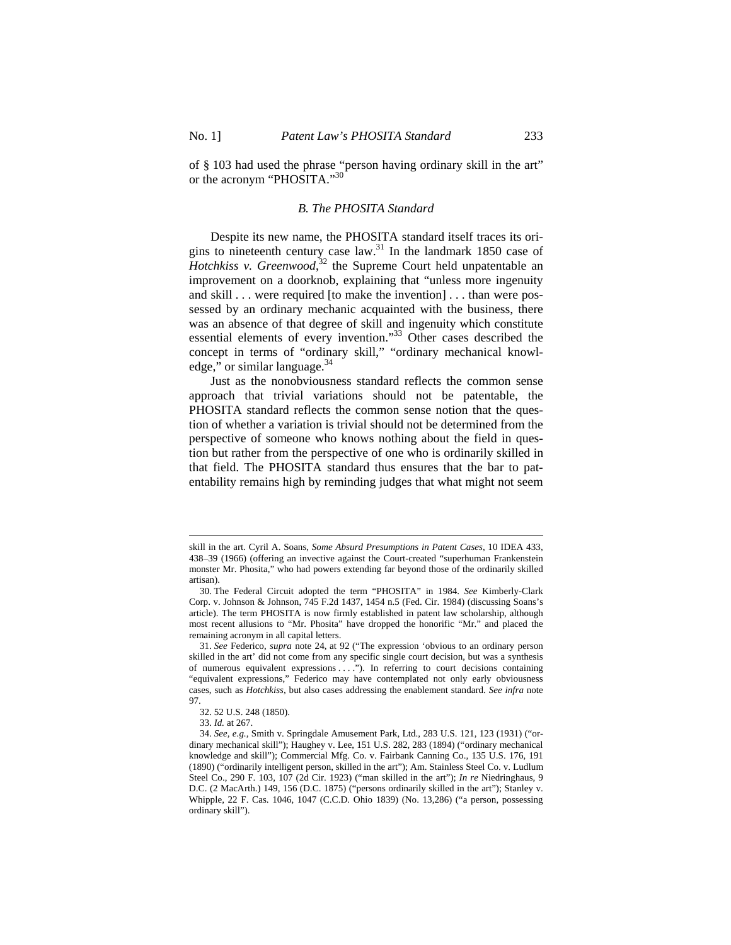of § 103 had used the phrase "person having ordinary skill in the art" or the acronym "PHOSITA."30

#### *B. The PHOSITA Standard*

Despite its new name, the PHOSITA standard itself traces its origins to nineteenth century case law.<sup>31</sup> In the landmark 1850 case of *Hotchkiss v. Greenwood*, 32 the Supreme Court held unpatentable an improvement on a doorknob, explaining that "unless more ingenuity and skill . . . were required [to make the invention] . . . than were possessed by an ordinary mechanic acquainted with the business, there was an absence of that degree of skill and ingenuity which constitute essential elements of every invention."33 Other cases described the concept in terms of "ordinary skill," "ordinary mechanical knowledge," or similar language. $34$ 

Just as the nonobviousness standard reflects the common sense approach that trivial variations should not be patentable, the PHOSITA standard reflects the common sense notion that the question of whether a variation is trivial should not be determined from the perspective of someone who knows nothing about the field in question but rather from the perspective of one who is ordinarily skilled in that field. The PHOSITA standard thus ensures that the bar to patentability remains high by reminding judges that what might not seem

skill in the art. Cyril A. Soans, *Some Absurd Presumptions in Patent Cases*, 10 IDEA 433, 438–39 (1966) (offering an invective against the Court-created "superhuman Frankenstein monster Mr. Phosita," who had powers extending far beyond those of the ordinarily skilled artisan).

<sup>30.</sup> The Federal Circuit adopted the term "PHOSITA" in 1984. *See* Kimberly-Clark Corp. v. Johnson & Johnson, 745 F.2d 1437, 1454 n.5 (Fed. Cir. 1984) (discussing Soans's article). The term PHOSITA is now firmly established in patent law scholarship, although most recent allusions to "Mr. Phosita" have dropped the honorific "Mr." and placed the remaining acronym in all capital letters.

<sup>31.</sup> *See* Federico, *supra* note 24, at 92 ("The expression 'obvious to an ordinary person skilled in the art' did not come from any specific single court decision, but was a synthesis of numerous equivalent expressions . . . ."). In referring to court decisions containing "equivalent expressions," Federico may have contemplated not only early obviousness cases, such as *Hotchkiss*, but also cases addressing the enablement standard. *See infra* note 97.

<sup>32. 52</sup> U.S. 248 (1850).

<sup>33.</sup> *Id.* at 267.

<sup>34.</sup> *See, e.g.*, Smith v. Springdale Amusement Park, Ltd., 283 U.S. 121, 123 (1931) ("ordinary mechanical skill"); Haughey v. Lee, 151 U.S. 282, 283 (1894) ("ordinary mechanical knowledge and skill"); Commercial Mfg. Co. v. Fairbank Canning Co., 135 U.S. 176, 191 (1890) ("ordinarily intelligent person, skilled in the art"); Am. Stainless Steel Co. v. Ludlum Steel Co., 290 F. 103, 107 (2d Cir. 1923) ("man skilled in the art"); *In re* Niedringhaus, 9 D.C. (2 MacArth.) 149, 156 (D.C. 1875) ("persons ordinarily skilled in the art"); Stanley v. Whipple, 22 F. Cas. 1046, 1047 (C.C.D. Ohio 1839) (No. 13,286) ("a person, possessing ordinary skill").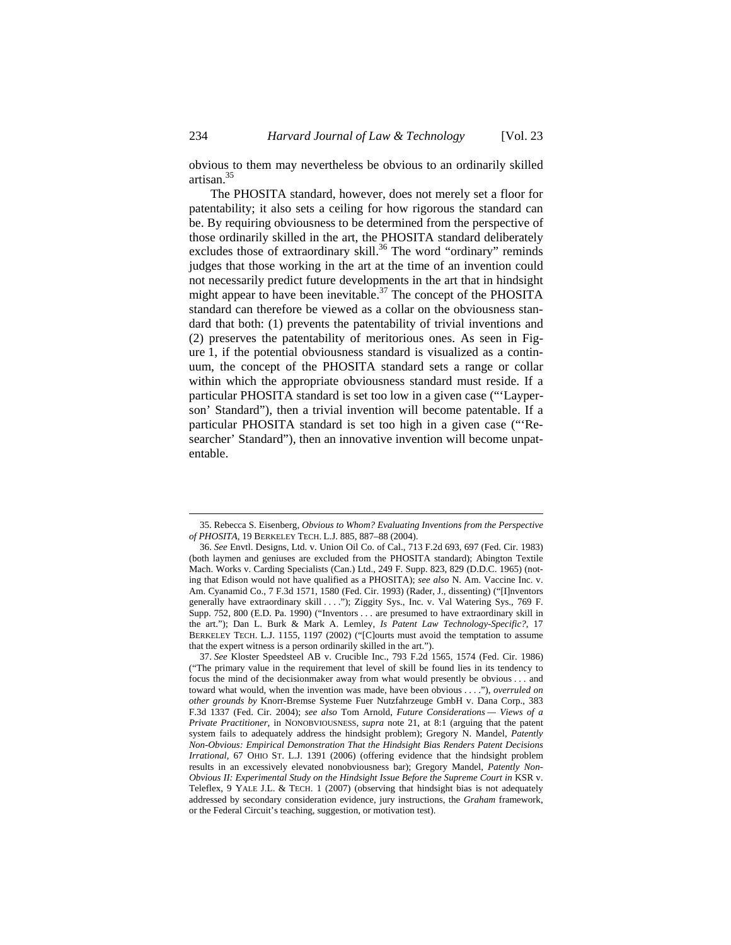obvious to them may nevertheless be obvious to an ordinarily skilled artisan.<sup>35</sup>

The PHOSITA standard, however, does not merely set a floor for patentability; it also sets a ceiling for how rigorous the standard can be. By requiring obviousness to be determined from the perspective of those ordinarily skilled in the art, the PHOSITA standard deliberately excludes those of extraordinary skill.<sup>36</sup> The word "ordinary" reminds judges that those working in the art at the time of an invention could not necessarily predict future developments in the art that in hindsight might appear to have been inevitable.<sup>37</sup> The concept of the PHOSITA standard can therefore be viewed as a collar on the obviousness standard that both: (1) prevents the patentability of trivial inventions and (2) preserves the patentability of meritorious ones. As seen in Figure 1, if the potential obviousness standard is visualized as a continuum, the concept of the PHOSITA standard sets a range or collar within which the appropriate obviousness standard must reside. If a particular PHOSITA standard is set too low in a given case ("'Layperson' Standard"), then a trivial invention will become patentable. If a particular PHOSITA standard is set too high in a given case ("'Researcher' Standard"), then an innovative invention will become unpatentable.

<sup>35.</sup> Rebecca S. Eisenberg, *Obvious to Whom? Evaluating Inventions from the Perspective of PHOSITA*, 19 BERKELEY TECH. L.J. 885, 887–88 (2004).

<sup>36.</sup> *See* Envtl. Designs, Ltd. v. Union Oil Co. of Cal., 713 F.2d 693, 697 (Fed. Cir. 1983) (both laymen and geniuses are excluded from the PHOSITA standard); Abington Textile Mach. Works v. Carding Specialists (Can.) Ltd., 249 F. Supp. 823, 829 (D.D.C. 1965) (noting that Edison would not have qualified as a PHOSITA); *see also* N. Am. Vaccine Inc. v. Am. Cyanamid Co., 7 F.3d 1571, 1580 (Fed. Cir. 1993) (Rader, J., dissenting) ("[I]nventors generally have extraordinary skill . . . ."); Ziggity Sys., Inc. v. Val Watering Sys., 769 F. Supp. 752, 800 (E.D. Pa. 1990) ("Inventors . . . are presumed to have extraordinary skill in the art."); Dan L. Burk & Mark A. Lemley, *Is Patent Law Technology-Specific?*, 17 BERKELEY TECH. L.J. 1155, 1197 (2002) ("[C]ourts must avoid the temptation to assume that the expert witness is a person ordinarily skilled in the art.").

<sup>37.</sup> *See* Kloster Speedsteel AB v. Crucible Inc., 793 F.2d 1565, 1574 (Fed. Cir. 1986) ("The primary value in the requirement that level of skill be found lies in its tendency to focus the mind of the decisionmaker away from what would presently be obvious . . . and toward what would, when the invention was made, have been obvious . . . ."), *overruled on other grounds by* Knorr-Bremse Systeme Fuer Nutzfahrzeuge GmbH v. Dana Corp., 383 F.3d 1337 (Fed. Cir. 2004); *see also* Tom Arnold, *Future Considerations — Views of a Private Practitioner*, in NONOBVIOUSNESS, *supra* note 21, at 8:1 (arguing that the patent system fails to adequately address the hindsight problem); Gregory N. Mandel, *Patently Non-Obvious: Empirical Demonstration That the Hindsight Bias Renders Patent Decisions Irrational*, 67 OHIO ST. L.J. 1391 (2006) (offering evidence that the hindsight problem results in an excessively elevated nonobviousness bar); Gregory Mandel, *Patently Non-Obvious II: Experimental Study on the Hindsight Issue Before the Supreme Court in KSR v.* Teleflex, 9 YALE J.L. & TECH. 1 (2007) (observing that hindsight bias is not adequately addressed by secondary consideration evidence, jury instructions, the *Graham* framework, or the Federal Circuit's teaching, suggestion, or motivation test).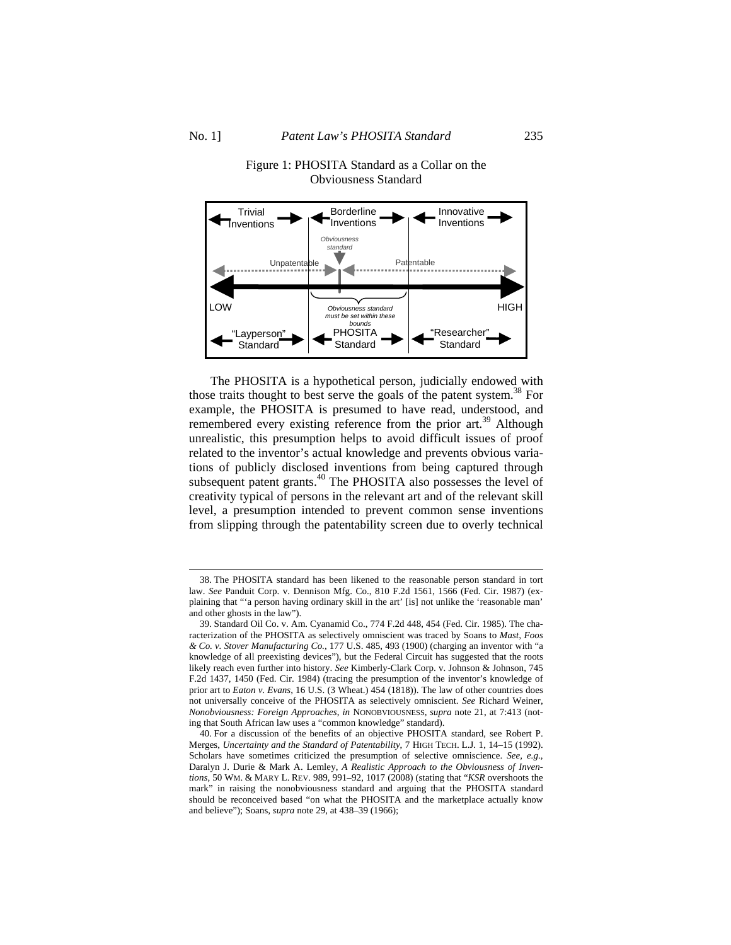

# Figure 1: PHOSITA Standard as a Collar on the Obviousness Standard

The PHOSITA is a hypothetical person, judicially endowed with those traits thought to best serve the goals of the patent system.<sup>38</sup> For example, the PHOSITA is presumed to have read, understood, and remembered every existing reference from the prior art.<sup>39</sup> Although unrealistic, this presumption helps to avoid difficult issues of proof related to the inventor's actual knowledge and prevents obvious variations of publicly disclosed inventions from being captured through subsequent patent grants. $40$  The PHOSITA also possesses the level of creativity typical of persons in the relevant art and of the relevant skill level, a presumption intended to prevent common sense inventions from slipping through the patentability screen due to overly technical

<sup>38.</sup> The PHOSITA standard has been likened to the reasonable person standard in tort law. *See* Panduit Corp. v. Dennison Mfg. Co., 810 F.2d 1561, 1566 (Fed. Cir. 1987) (explaining that "'a person having ordinary skill in the art' [is] not unlike the 'reasonable man' and other ghosts in the law").

<sup>39.</sup> Standard Oil Co. v. Am. Cyanamid Co., 774 F.2d 448, 454 (Fed. Cir. 1985). The characterization of the PHOSITA as selectively omniscient was traced by Soans to *Mast, Foos & Co. v. Stover Manufacturing Co.*, 177 U.S. 485, 493 (1900) (charging an inventor with "a knowledge of all preexisting devices"), but the Federal Circuit has suggested that the roots likely reach even further into history. *See* Kimberly-Clark Corp. v. Johnson & Johnson, 745 F.2d 1437, 1450 (Fed. Cir. 1984) (tracing the presumption of the inventor's knowledge of prior art to *Eaton v. Evans*, 16 U.S. (3 Wheat.) 454 (1818)). The law of other countries does not universally conceive of the PHOSITA as selectively omniscient. *See* Richard Weiner, *Nonobviousness: Foreign Approaches*, *in* NONOBVIOUSNESS, *supra* note 21, at 7:413 (noting that South African law uses a "common knowledge" standard).

<sup>40.</sup> For a discussion of the benefits of an objective PHOSITA standard, see Robert P. Merges, *Uncertainty and the Standard of Patentability*, 7 HIGH TECH. L.J. 1, 14–15 (1992). Scholars have sometimes criticized the presumption of selective omniscience. *See, e.g.*, Daralyn J. Durie & Mark A. Lemley, *A Realistic Approach to the Obviousness of Inventions*, 50 WM. & MARY L. REV. 989, 991–92, 1017 (2008) (stating that "*KSR* overshoots the mark" in raising the nonobviousness standard and arguing that the PHOSITA standard should be reconceived based "on what the PHOSITA and the marketplace actually know and believe"); Soans, *supra* note 29, at 438–39 (1966);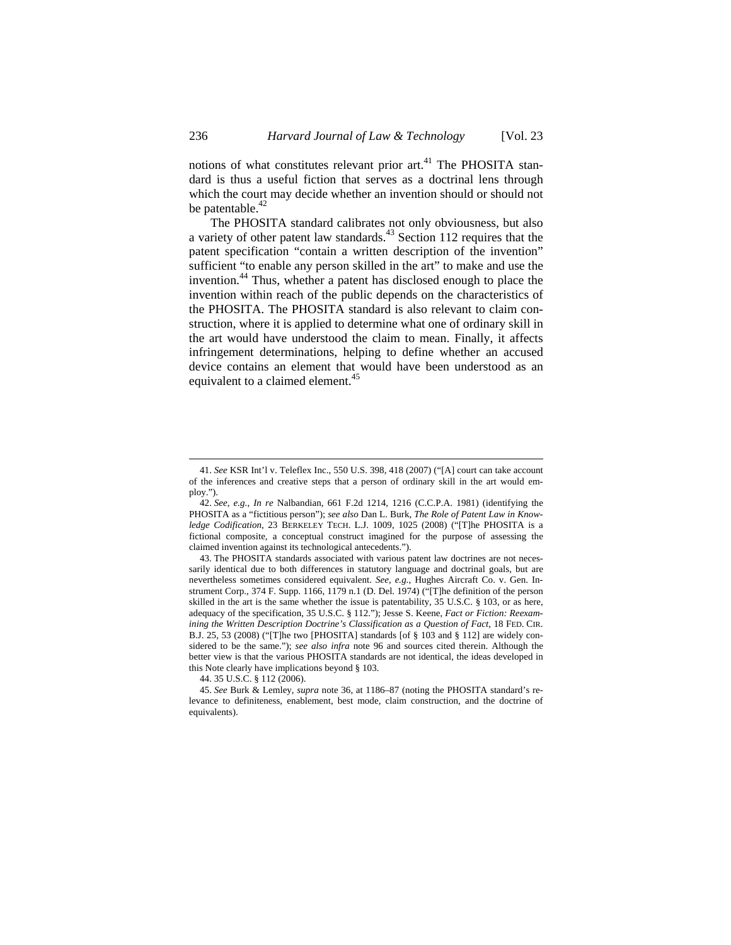notions of what constitutes relevant prior art. $41$  The PHOSITA standard is thus a useful fiction that serves as a doctrinal lens through which the court may decide whether an invention should or should not be patentable.<sup>42</sup>

The PHOSITA standard calibrates not only obviousness, but also a variety of other patent law standards.<sup>43</sup> Section 112 requires that the patent specification "contain a written description of the invention" sufficient "to enable any person skilled in the art" to make and use the invention.<sup>44</sup> Thus, whether a patent has disclosed enough to place the invention within reach of the public depends on the characteristics of the PHOSITA. The PHOSITA standard is also relevant to claim construction, where it is applied to determine what one of ordinary skill in the art would have understood the claim to mean. Finally, it affects infringement determinations, helping to define whether an accused device contains an element that would have been understood as an equivalent to a claimed element.<sup>45</sup>

<sup>41.</sup> *See* KSR Int'l v. Teleflex Inc., 550 U.S. 398, 418 (2007) ("[A] court can take account of the inferences and creative steps that a person of ordinary skill in the art would employ.").

<sup>42.</sup> *See, e.g.*, *In re* Nalbandian, 661 F.2d 1214, 1216 (C.C.P.A. 1981) (identifying the PHOSITA as a "fictitious person"); *see also* Dan L. Burk, *The Role of Patent Law in Knowledge Codification*, 23 BERKELEY TECH. L.J. 1009, 1025 (2008) ("[T]he PHOSITA is a fictional composite, a conceptual construct imagined for the purpose of assessing the claimed invention against its technological antecedents.").

<sup>43.</sup> The PHOSITA standards associated with various patent law doctrines are not necessarily identical due to both differences in statutory language and doctrinal goals, but are nevertheless sometimes considered equivalent. *See, e.g.*, Hughes Aircraft Co. v. Gen. Instrument Corp., 374 F. Supp. 1166, 1179 n.1 (D. Del. 1974) ("[T]he definition of the person skilled in the art is the same whether the issue is patentability, 35 U.S.C. § 103, or as here, adequacy of the specification, 35 U.S.C. § 112."); Jesse S. Keene, *Fact or Fiction: Reexamining the Written Description Doctrine's Classification as a Question of Fact*, 18 FED. CIR. B.J. 25, 53 (2008) ("[T]he two [PHOSITA] standards [of § 103 and § 112] are widely considered to be the same."); *see also infra* note 96 and sources cited therein. Although the better view is that the various PHOSITA standards are not identical, the ideas developed in this Note clearly have implications beyond § 103.

<sup>44. 35</sup> U.S.C. § 112 (2006).

<sup>45.</sup> *See* Burk & Lemley, *supra* note 36, at 1186–87 (noting the PHOSITA standard's relevance to definiteness, enablement, best mode, claim construction, and the doctrine of equivalents).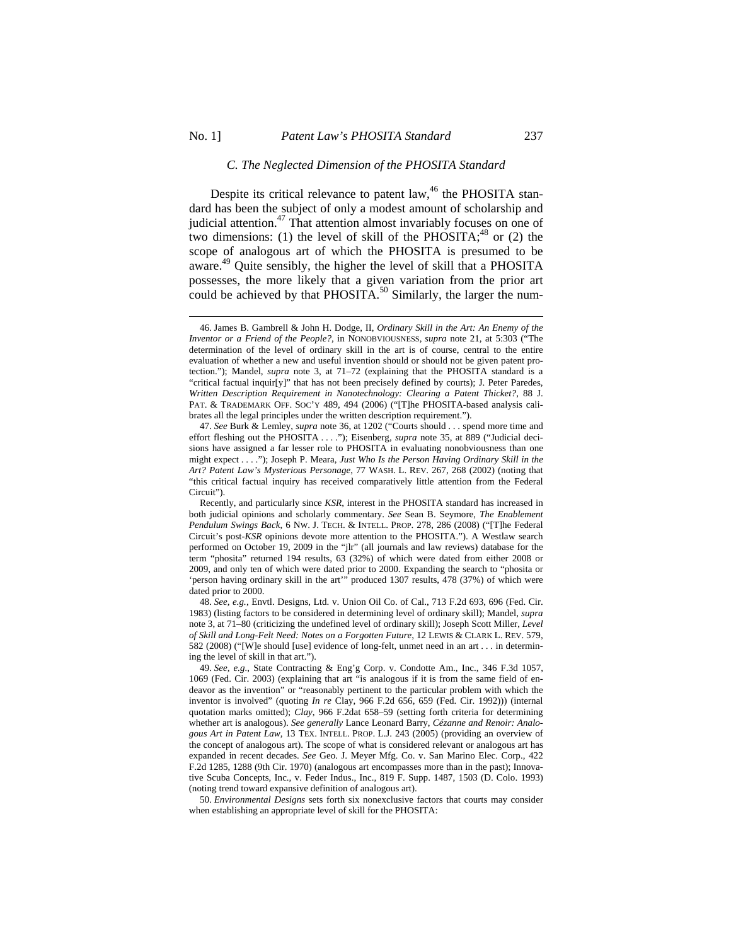### *C. The Neglected Dimension of the PHOSITA Standard*

Despite its critical relevance to patent law,  $46$  the PHOSITA standard has been the subject of only a modest amount of scholarship and judicial attention.47 That attention almost invariably focuses on one of two dimensions: (1) the level of skill of the PHOSITA; $48$  or (2) the scope of analogous art of which the PHOSITA is presumed to be aware. 49 Quite sensibly, the higher the level of skill that a PHOSITA possesses, the more likely that a given variation from the prior art could be achieved by that PHOSITA.<sup>50</sup> Similarly, the larger the num-

<sup>46.</sup> James B. Gambrell & John H. Dodge, II, *Ordinary Skill in the Art: An Enemy of the Inventor or a Friend of the People?*, in NONOBVIOUSNESS, *supra* note 21, at 5:303 ("The determination of the level of ordinary skill in the art is of course, central to the entire evaluation of whether a new and useful invention should or should not be given patent protection."); Mandel, *supra* note 3, at 71–72 (explaining that the PHOSITA standard is a "critical factual inquir[y]" that has not been precisely defined by courts); J. Peter Paredes, *Written Description Requirement in Nanotechnology: Clearing a Patent Thicket?*, 88 J. PAT. & TRADEMARK OFF. SOC'Y 489, 494 (2006) ("[T]he PHOSITA-based analysis calibrates all the legal principles under the written description requirement.").

<sup>47.</sup> *See* Burk & Lemley, *supra* note 36, at 1202 ("Courts should . . . spend more time and effort fleshing out the PHOSITA . . . ."); Eisenberg, *supra* note 35, at 889 ("Judicial decisions have assigned a far lesser role to PHOSITA in evaluating nonobviousness than one might expect . . . ."); Joseph P. Meara, *Just Who Is the Person Having Ordinary Skill in the Art? Patent Law's Mysterious Personage*, 77 WASH. L. REV. 267, 268 (2002) (noting that "this critical factual inquiry has received comparatively little attention from the Federal Circuit").

Recently, and particularly since *KSR*, interest in the PHOSITA standard has increased in both judicial opinions and scholarly commentary. *See* Sean B. Seymore, *The Enablement Pendulum Swings Back*, 6 NW. J. TECH. & INTELL. PROP. 278, 286 (2008) ("[T]he Federal Circuit's post-*KSR* opinions devote more attention to the PHOSITA."). A Westlaw search performed on October 19, 2009 in the "jlr" (all journals and law reviews) database for the term "phosita" returned 194 results, 63 (32%) of which were dated from either 2008 or 2009, and only ten of which were dated prior to 2000. Expanding the search to "phosita or 'person having ordinary skill in the art'" produced 1307 results, 478 (37%) of which were dated prior to 2000.

<sup>48.</sup> *See, e.g.*, Envtl. Designs, Ltd. v. Union Oil Co. of Cal., 713 F.2d 693, 696 (Fed. Cir. 1983) (listing factors to be considered in determining level of ordinary skill); Mandel, *supra*  note 3, at 71–80 (criticizing the undefined level of ordinary skill); Joseph Scott Miller, *Level of Skill and Long-Felt Need: Notes on a Forgotten Future*, 12 LEWIS & CLARK L. REV. 579, 582 (2008) ("[W]e should [use] evidence of long-felt, unmet need in an art . . . in determining the level of skill in that art.").

<sup>49.</sup> *See, e.g.*, State Contracting & Eng'g Corp. v. Condotte Am., Inc., 346 F.3d 1057, 1069 (Fed. Cir. 2003) (explaining that art "is analogous if it is from the same field of endeavor as the invention" or "reasonably pertinent to the particular problem with which the inventor is involved" (quoting *In re* Clay, 966 F.2d 656, 659 (Fed. Cir. 1992))) (internal quotation marks omitted); *Clay*, 966 F.2dat 658–59 (setting forth criteria for determining whether art is analogous). *See generally* Lance Leonard Barry, *Cézanne and Renoir: Analogous Art in Patent Law*, 13 TEX. INTELL. PROP. L.J. 243 (2005) (providing an overview of the concept of analogous art). The scope of what is considered relevant or analogous art has expanded in recent decades. *See* Geo. J. Meyer Mfg. Co. v. San Marino Elec. Corp., 422 F.2d 1285, 1288 (9th Cir. 1970) (analogous art encompasses more than in the past); Innovative Scuba Concepts, Inc., v. Feder Indus., Inc., 819 F. Supp. 1487, 1503 (D. Colo. 1993) (noting trend toward expansive definition of analogous art).

<sup>50.</sup> *Environmental Designs* sets forth six nonexclusive factors that courts may consider when establishing an appropriate level of skill for the PHOSITA: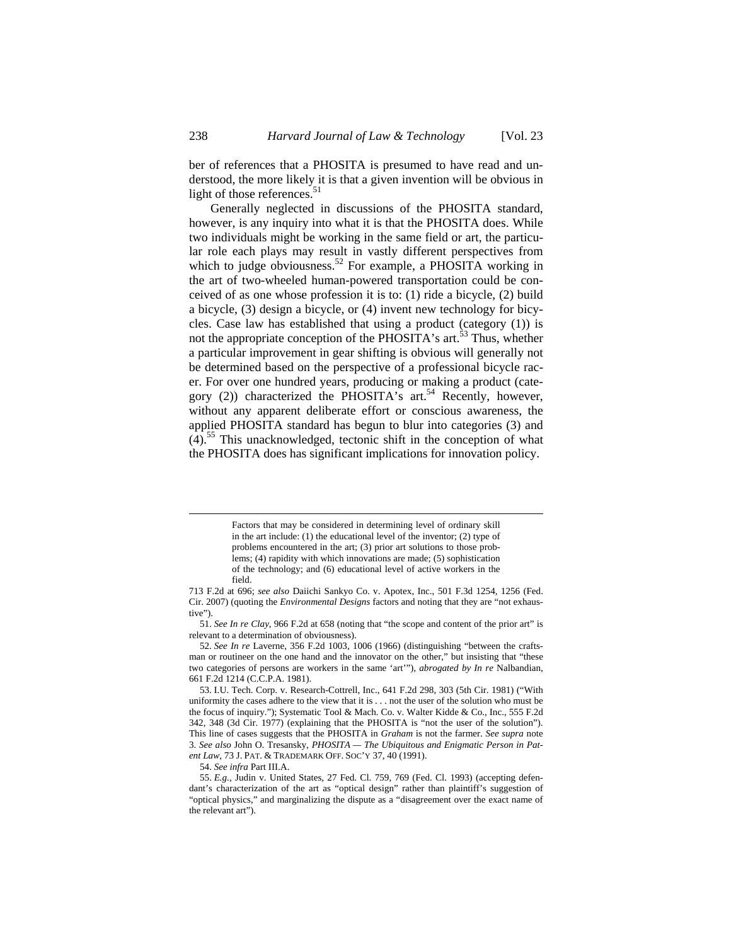ber of references that a PHOSITA is presumed to have read and understood, the more likely it is that a given invention will be obvious in light of those references. $51$ 

Generally neglected in discussions of the PHOSITA standard, however, is any inquiry into what it is that the PHOSITA does. While two individuals might be working in the same field or art, the particular role each plays may result in vastly different perspectives from which to judge obviousness.<sup>52</sup> For example, a PHOSITA working in the art of two-wheeled human-powered transportation could be conceived of as one whose profession it is to: (1) ride a bicycle, (2) build a bicycle, (3) design a bicycle, or (4) invent new technology for bicycles. Case law has established that using a product (category (1)) is not the appropriate conception of the PHOSITA's art.<sup>53</sup> Thus, whether a particular improvement in gear shifting is obvious will generally not be determined based on the perspective of a professional bicycle racer. For over one hundred years, producing or making a product (category (2)) characterized the PHOSITA's art.<sup>54</sup> Recently, however, without any apparent deliberate effort or conscious awareness, the applied PHOSITA standard has begun to blur into categories (3) and  $(4)$ .<sup>55</sup> This unacknowledged, tectonic shift in the conception of what the PHOSITA does has significant implications for innovation policy.

54. *See infra* Part III.A.

Factors that may be considered in determining level of ordinary skill in the art include: (1) the educational level of the inventor; (2) type of problems encountered in the art; (3) prior art solutions to those problems; (4) rapidity with which innovations are made; (5) sophistication of the technology; and (6) educational level of active workers in the field.

<sup>713</sup> F.2d at 696; *see also* Daiichi Sankyo Co. v. Apotex, Inc., 501 F.3d 1254, 1256 (Fed. Cir. 2007) (quoting the *Environmental Designs* factors and noting that they are "not exhaustive").

<sup>51.</sup> *See In re Clay*, 966 F.2d at 658 (noting that "the scope and content of the prior art" is relevant to a determination of obviousness).

<sup>52.</sup> *See In re* Laverne, 356 F.2d 1003, 1006 (1966) (distinguishing "between the craftsman or routineer on the one hand and the innovator on the other," but insisting that "these two categories of persons are workers in the same 'art'"), *abrogated by In re* Nalbandian, 661 F.2d 1214 (C.C.P.A. 1981).

<sup>53.</sup> I.U. Tech. Corp. v. Research-Cottrell, Inc., 641 F.2d 298, 303 (5th Cir. 1981) ("With uniformity the cases adhere to the view that it is . . . not the user of the solution who must be the focus of inquiry."); Systematic Tool & Mach. Co. v. Walter Kidde & Co., Inc., 555 F.2d 342, 348 (3d Cir. 1977) (explaining that the PHOSITA is "not the user of the solution"). This line of cases suggests that the PHOSITA in *Graham* is not the farmer. *See supra* note 3. *See also* John O. Tresansky, *PHOSITA — The Ubiquitous and Enigmatic Person in Patent Law*, 73 J. PAT. & TRADEMARK OFF. SOC'Y 37, 40 (1991).

<sup>55.</sup> *E.g.*, Judin v. United States, 27 Fed. Cl. 759, 769 (Fed. Cl. 1993) (accepting defendant's characterization of the art as "optical design" rather than plaintiff's suggestion of "optical physics," and marginalizing the dispute as a "disagreement over the exact name of the relevant art").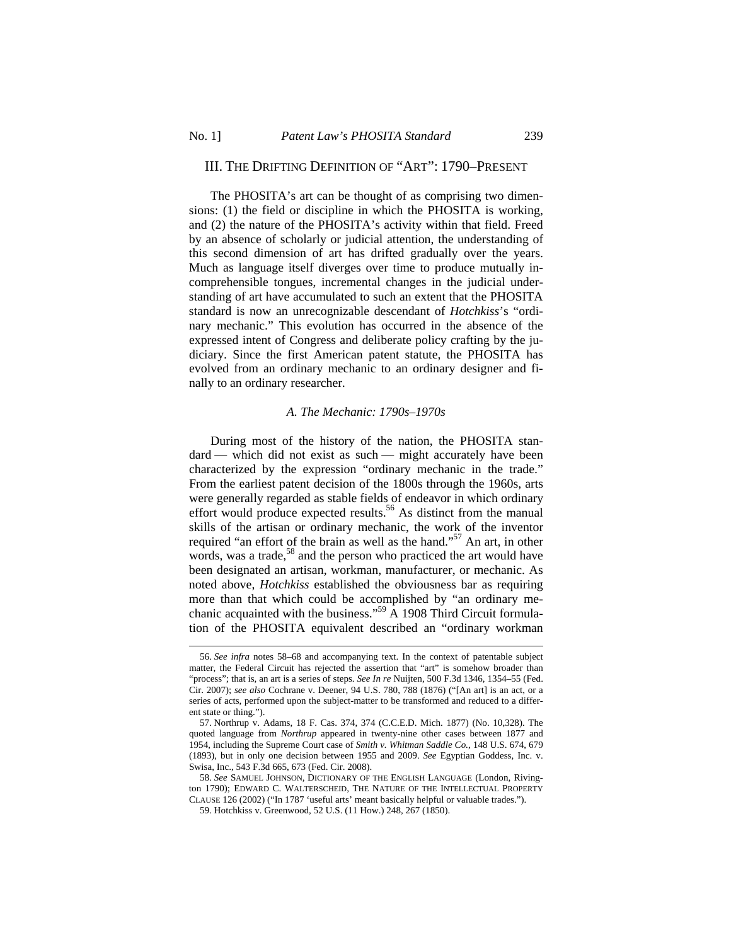$\overline{a}$ 

# III. THE DRIFTING DEFINITION OF "ART": 1790–PRESENT

The PHOSITA's art can be thought of as comprising two dimensions: (1) the field or discipline in which the PHOSITA is working, and (2) the nature of the PHOSITA's activity within that field. Freed by an absence of scholarly or judicial attention, the understanding of this second dimension of art has drifted gradually over the years. Much as language itself diverges over time to produce mutually incomprehensible tongues, incremental changes in the judicial understanding of art have accumulated to such an extent that the PHOSITA standard is now an unrecognizable descendant of *Hotchkiss*'s "ordinary mechanic." This evolution has occurred in the absence of the expressed intent of Congress and deliberate policy crafting by the judiciary. Since the first American patent statute, the PHOSITA has evolved from an ordinary mechanic to an ordinary designer and finally to an ordinary researcher.

### *A. The Mechanic: 1790s–1970s*

During most of the history of the nation, the PHOSITA standard — which did not exist as such — might accurately have been characterized by the expression "ordinary mechanic in the trade." From the earliest patent decision of the 1800s through the 1960s, arts were generally regarded as stable fields of endeavor in which ordinary effort would produce expected results.<sup>56</sup> As distinct from the manual skills of the artisan or ordinary mechanic, the work of the inventor required "an effort of the brain as well as the hand."<sup>57</sup> An art, in other words, was a trade,<sup>58</sup> and the person who practiced the art would have been designated an artisan, workman, manufacturer, or mechanic. As noted above, *Hotchkiss* established the obviousness bar as requiring more than that which could be accomplished by "an ordinary mechanic acquainted with the business."<sup>59</sup> A 1908 Third Circuit formulation of the PHOSITA equivalent described an "ordinary workman

<sup>56.</sup> *See infra* notes 58–68 and accompanying text. In the context of patentable subject matter, the Federal Circuit has rejected the assertion that "art" is somehow broader than "process"; that is, an art is a series of steps. *See In re* Nuijten, 500 F.3d 1346, 1354–55 (Fed. Cir. 2007); *see also* Cochrane v. Deener, 94 U.S. 780, 788 (1876) ("[An art] is an act, or a series of acts, performed upon the subject-matter to be transformed and reduced to a different state or thing.").

<sup>57.</sup> Northrup v. Adams, 18 F. Cas. 374, 374 (C.C.E.D. Mich. 1877) (No. 10,328). The quoted language from *Northrup* appeared in twenty-nine other cases between 1877 and 1954, including the Supreme Court case of *Smith v. Whitman Saddle Co.*, 148 U.S. 674, 679 (1893), but in only one decision between 1955 and 2009. *See* Egyptian Goddess, Inc. v. Swisa, Inc., 543 F.3d 665, 673 (Fed. Cir. 2008).

<sup>58.</sup> *See* SAMUEL JOHNSON, DICTIONARY OF THE ENGLISH LANGUAGE (London, Rivington 1790); EDWARD C. WALTERSCHEID, THE NATURE OF THE INTELLECTUAL PROPERTY CLAUSE 126 (2002) ("In 1787 'useful arts' meant basically helpful or valuable trades.").

<sup>59.</sup> Hotchkiss v. Greenwood, 52 U.S. (11 How.) 248, 267 (1850).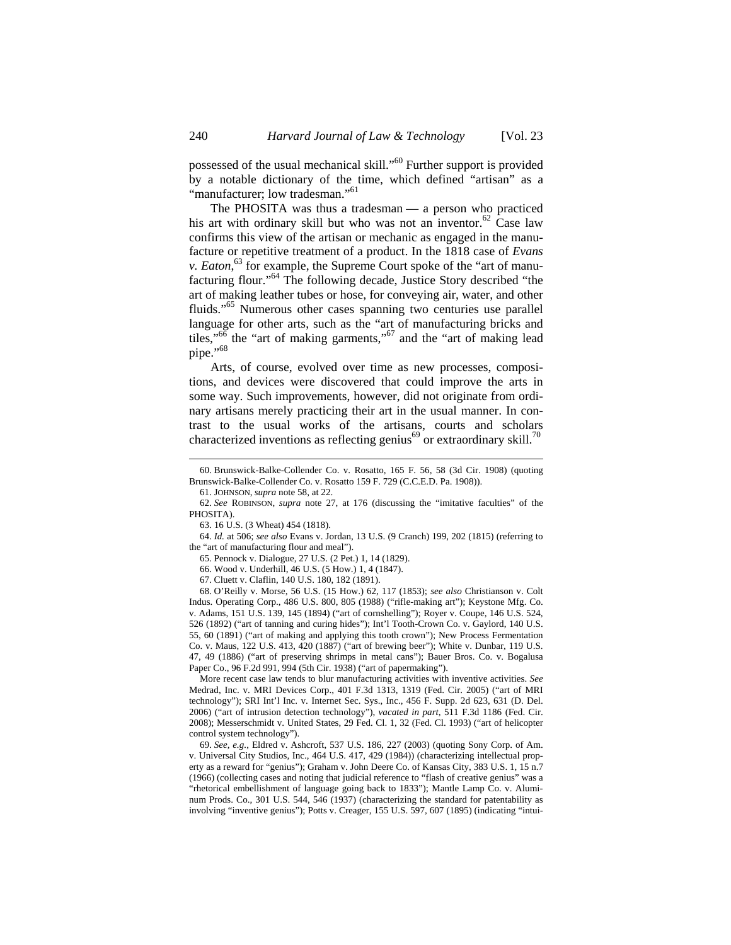possessed of the usual mechanical skill."60 Further support is provided by a notable dictionary of the time, which defined "artisan" as a "manufacturer; low tradesman."<sup>61</sup>

The PHOSITA was thus a tradesman — a person who practiced his art with ordinary skill but who was not an inventor.<sup>62</sup> Case law confirms this view of the artisan or mechanic as engaged in the manufacture or repetitive treatment of a product. In the 1818 case of *Evans v. Eaton*, 63 for example, the Supreme Court spoke of the "art of manufacturing flour."64 The following decade, Justice Story described "the art of making leather tubes or hose, for conveying air, water, and other fluids."65 Numerous other cases spanning two centuries use parallel language for other arts, such as the "art of manufacturing bricks and tiles,"<sup>66</sup> the "art of making garments,"<sup>67</sup> and the "art of making lead pipe."<sup>68</sup>

Arts, of course, evolved over time as new processes, compositions, and devices were discovered that could improve the arts in some way. Such improvements, however, did not originate from ordinary artisans merely practicing their art in the usual manner. In contrast to the usual works of the artisans, courts and scholars characterized inventions as reflecting genius<sup>69</sup> or extraordinary skill.<sup>70</sup>

64. *Id.* at 506; *see also* Evans v. Jordan, 13 U.S. (9 Cranch) 199, 202 (1815) (referring to the "art of manufacturing flour and meal").

65. Pennock v. Dialogue, 27 U.S. (2 Pet.) 1, 14 (1829).

66. Wood v. Underhill, 46 U.S. (5 How.) 1, 4 (1847).

More recent case law tends to blur manufacturing activities with inventive activities. *See*  Medrad, Inc. v. MRI Devices Corp., 401 F.3d 1313, 1319 (Fed. Cir. 2005) ("art of MRI technology"); SRI Int'l Inc. v. Internet Sec. Sys., Inc., 456 F. Supp. 2d 623, 631 (D. Del. 2006) ("art of intrusion detection technology"), *vacated in part*, 511 F.3d 1186 (Fed. Cir. 2008); Messerschmidt v. United States, 29 Fed. Cl. 1, 32 (Fed. Cl. 1993) ("art of helicopter control system technology").

69. *See, e.g.*, Eldred v. Ashcroft, 537 U.S. 186, 227 (2003) (quoting Sony Corp. of Am. v. Universal City Studios, Inc., 464 U.S. 417, 429 (1984)) (characterizing intellectual property as a reward for "genius"); Graham v. John Deere Co. of Kansas City, 383 U.S. 1, 15 n.7 (1966) (collecting cases and noting that judicial reference to "flash of creative genius" was a "rhetorical embellishment of language going back to 1833"); Mantle Lamp Co. v. Aluminum Prods. Co., 301 U.S. 544, 546 (1937) (characterizing the standard for patentability as involving "inventive genius"); Potts v. Creager, 155 U.S. 597, 607 (1895) (indicating "intui-

<sup>60.</sup> Brunswick-Balke-Collender Co. v. Rosatto, 165 F. 56, 58 (3d Cir. 1908) (quoting Brunswick-Balke-Collender Co. v. Rosatto 159 F. 729 (C.C.E.D. Pa. 1908)).

<sup>61.</sup> JOHNSON, *supra* note 58, at 22.

<sup>62.</sup> *See* ROBINSON, *supra* note 27, at 176 (discussing the "imitative faculties" of the PHOSITA).

<sup>63. 16</sup> U.S. (3 Wheat) 454 (1818).

<sup>67.</sup> Cluett v. Claflin, 140 U.S. 180, 182 (1891).

<sup>68.</sup> O'Reilly v. Morse, 56 U.S. (15 How.) 62, 117 (1853); *see also* Christianson v. Colt Indus. Operating Corp., 486 U.S. 800, 805 (1988) ("rifle-making art"); Keystone Mfg. Co. v. Adams, 151 U.S. 139, 145 (1894) ("art of cornshelling"); Royer v. Coupe, 146 U.S. 524, 526 (1892) ("art of tanning and curing hides"); Int'l Tooth-Crown Co. v. Gaylord, 140 U.S. 55, 60 (1891) ("art of making and applying this tooth crown"); New Process Fermentation Co. v. Maus, 122 U.S. 413, 420 (1887) ("art of brewing beer"); White v. Dunbar, 119 U.S. 47, 49 (1886) ("art of preserving shrimps in metal cans"); Bauer Bros. Co. v. Bogalusa Paper Co., 96 F.2d 991, 994 (5th Cir. 1938) ("art of papermaking").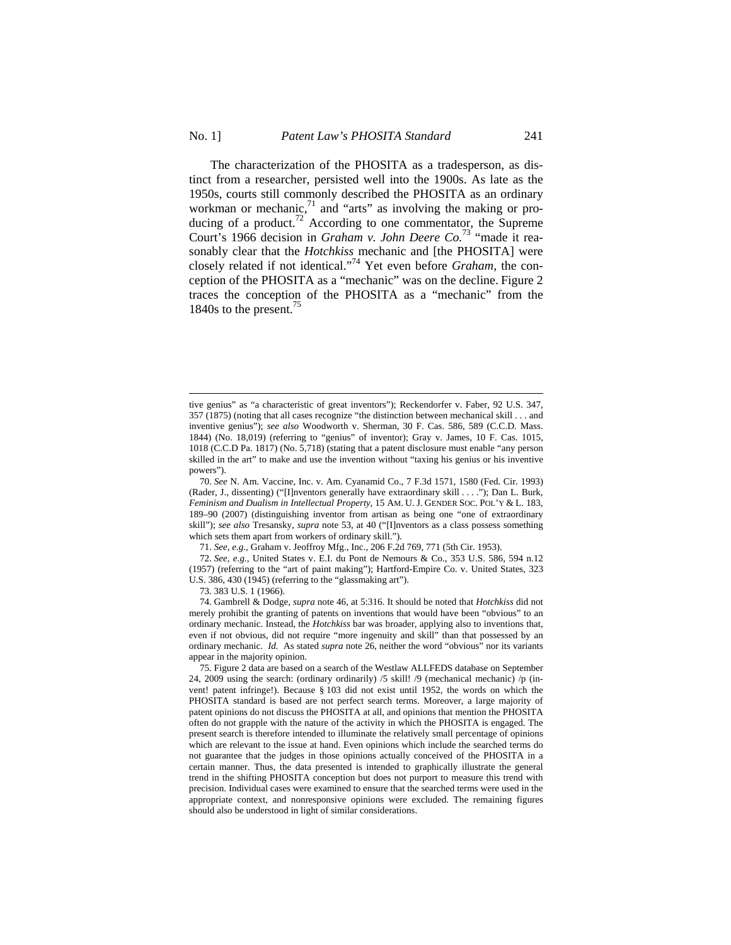$\overline{a}$ 

The characterization of the PHOSITA as a tradesperson, as distinct from a researcher, persisted well into the 1900s. As late as the 1950s, courts still commonly described the PHOSITA as an ordinary workman or mechanic, $71$  and "arts" as involving the making or producing of a product.<sup>72</sup> According to one commentator, the Supreme Court's 1966 decision in *Graham v. John Deere Co.*73 "made it reasonably clear that the *Hotchkiss* mechanic and [the PHOSITA] were closely related if not identical."74 Yet even before *Graham*, the conception of the PHOSITA as a "mechanic" was on the decline. Figure 2 traces the conception of the PHOSITA as a "mechanic" from the

73. 383 U.S. 1 (1966).

1840s to the present.<sup>75</sup>

74. Gambrell & Dodge, *supra* note 46, at 5:316. It should be noted that *Hotchkiss* did not merely prohibit the granting of patents on inventions that would have been "obvious" to an ordinary mechanic. Instead, the *Hotchkiss* bar was broader, applying also to inventions that, even if not obvious, did not require "more ingenuity and skill" than that possessed by an ordinary mechanic. *Id.* As stated *supra* note 26, neither the word "obvious" nor its variants appear in the majority opinion.

tive genius" as "a characteristic of great inventors"); Reckendorfer v. Faber, 92 U.S. 347, 357 (1875) (noting that all cases recognize "the distinction between mechanical skill . . . and inventive genius"); *see also* Woodworth v. Sherman, 30 F. Cas. 586, 589 (C.C.D. Mass. 1844) (No. 18,019) (referring to "genius" of inventor); Gray v. James, 10 F. Cas. 1015, 1018 (C.C.D Pa. 1817) (No. 5,718) (stating that a patent disclosure must enable "any person skilled in the art" to make and use the invention without "taxing his genius or his inventive powers").

<sup>70.</sup> *See* N. Am. Vaccine, Inc. v. Am. Cyanamid Co., 7 F.3d 1571, 1580 (Fed. Cir. 1993) (Rader, J., dissenting) ("[I]nventors generally have extraordinary skill . . . ."); Dan L. Burk, *Feminism and Dualism in Intellectual Property*, 15 AM. U. J. GENDER SOC. POL'Y & L. 183, 189–90 (2007) (distinguishing inventor from artisan as being one "one of extraordinary skill"); *see also* Tresansky, *supra* note 53, at 40 ("[I]nventors as a class possess something which sets them apart from workers of ordinary skill.").

<sup>71.</sup> *See, e.g.*, Graham v. Jeoffroy Mfg., Inc., 206 F.2d 769, 771 (5th Cir. 1953).

<sup>72.</sup> *See, e.g.*, United States v. E.I. du Pont de Nemours & Co., 353 U.S. 586, 594 n.12 (1957) (referring to the "art of paint making"); Hartford-Empire Co. v. United States, 323 U.S. 386, 430 (1945) (referring to the "glassmaking art").

<sup>75.</sup> Figure 2 data are based on a search of the Westlaw ALLFEDS database on September 24, 2009 using the search: (ordinary ordinarily) /5 skill! /9 (mechanical mechanic) /p (invent! patent infringe!). Because § 103 did not exist until 1952, the words on which the PHOSITA standard is based are not perfect search terms. Moreover, a large majority of patent opinions do not discuss the PHOSITA at all, and opinions that mention the PHOSITA often do not grapple with the nature of the activity in which the PHOSITA is engaged. The present search is therefore intended to illuminate the relatively small percentage of opinions which are relevant to the issue at hand. Even opinions which include the searched terms do not guarantee that the judges in those opinions actually conceived of the PHOSITA in a certain manner. Thus, the data presented is intended to graphically illustrate the general trend in the shifting PHOSITA conception but does not purport to measure this trend with precision. Individual cases were examined to ensure that the searched terms were used in the appropriate context, and nonresponsive opinions were excluded. The remaining figures should also be understood in light of similar considerations.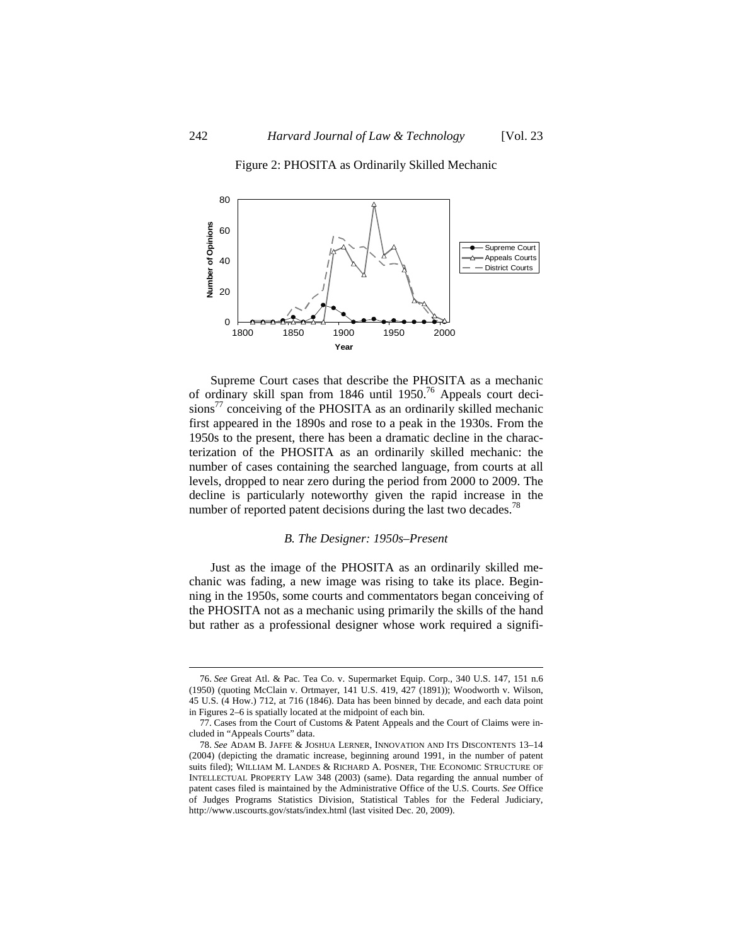

Figure 2: PHOSITA as Ordinarily Skilled Mechanic

Supreme Court cases that describe the PHOSITA as a mechanic of ordinary skill span from 1846 until 1950.<sup>76</sup> Appeals court decisions<sup>77</sup> conceiving of the PHOSITA as an ordinarily skilled mechanic first appeared in the 1890s and rose to a peak in the 1930s. From the 1950s to the present, there has been a dramatic decline in the characterization of the PHOSITA as an ordinarily skilled mechanic: the number of cases containing the searched language, from courts at all levels, dropped to near zero during the period from 2000 to 2009. The decline is particularly noteworthy given the rapid increase in the number of reported patent decisions during the last two decades.<sup>78</sup>

1800 1850 1900 1950 2000 **Year**

#### *B. The Designer: 1950s–Present*

Just as the image of the PHOSITA as an ordinarily skilled mechanic was fading, a new image was rising to take its place. Beginning in the 1950s, some courts and commentators began conceiving of the PHOSITA not as a mechanic using primarily the skills of the hand but rather as a professional designer whose work required a signifi-

 $\overline{a}$ 

 $0 \begin{array}{c} 0 \\ -2 \\ 1800 \end{array}$ 

<sup>76.</sup> *See* Great Atl. & Pac. Tea Co. v. Supermarket Equip. Corp., 340 U.S. 147, 151 n.6 (1950) (quoting McClain v. Ortmayer, 141 U.S. 419, 427 (1891)); Woodworth v. Wilson, 45 U.S. (4 How.) 712, at 716 (1846). Data has been binned by decade, and each data point in Figures 2–6 is spatially located at the midpoint of each bin.

<sup>77.</sup> Cases from the Court of Customs & Patent Appeals and the Court of Claims were included in "Appeals Courts" data.

<sup>78.</sup> *See* ADAM B. JAFFE & JOSHUA LERNER, INNOVATION AND ITS DISCONTENTS 13–14 (2004) (depicting the dramatic increase, beginning around 1991, in the number of patent suits filed); WILLIAM M. LANDES & RICHARD A. POSNER, THE ECONOMIC STRUCTURE OF INTELLECTUAL PROPERTY LAW 348 (2003) (same). Data regarding the annual number of patent cases filed is maintained by the Administrative Office of the U.S. Courts. *See* Office of Judges Programs Statistics Division, Statistical Tables for the Federal Judiciary, http://www.uscourts.gov/stats/index.html (last visited Dec. 20, 2009).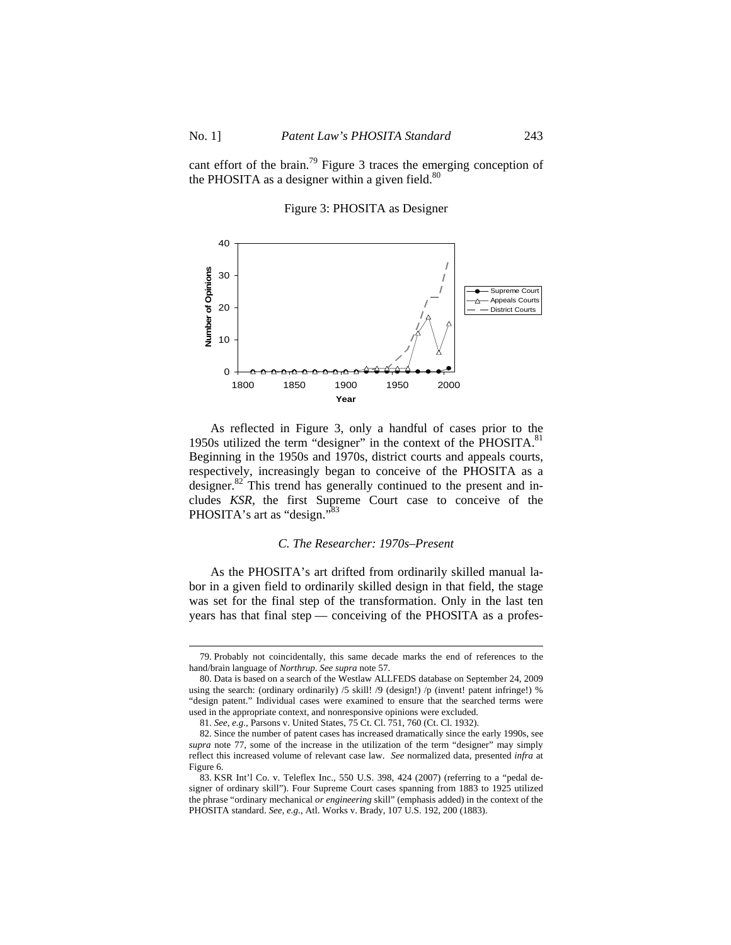cant effort of the brain.<sup>79</sup> Figure 3 traces the emerging conception of the PHOSITA as a designer within a given field. $80$ 

Figure 3: PHOSITA as Designer



As reflected in Figure 3, only a handful of cases prior to the 1950s utilized the term "designer" in the context of the PHOSITA.<sup>81</sup> Beginning in the 1950s and 1970s, district courts and appeals courts, respectively, increasingly began to conceive of the PHOSITA as a designer. $82$ <sup>2</sup>This trend has generally continued to the present and includes *KSR*, the first Supreme Court case to conceive of the PHOSITA's art as "design."<sup>83</sup>

### *C. The Researcher: 1970s–Present*

As the PHOSITA's art drifted from ordinarily skilled manual labor in a given field to ordinarily skilled design in that field, the stage was set for the final step of the transformation. Only in the last ten years has that final step — conceiving of the PHOSITA as a profes-

<sup>79.</sup> Probably not coincidentally, this same decade marks the end of references to the hand/brain language of *Northrup*. *See supra* note 57.

<sup>80.</sup> Data is based on a search of the Westlaw ALLFEDS database on September 24, 2009 using the search: (ordinary ordinarily) /5 skill! /9 (design!) /p (invent! patent infringe!) % "design patent." Individual cases were examined to ensure that the searched terms were used in the appropriate context, and nonresponsive opinions were excluded.

<sup>81.</sup> *See, e.g.*, Parsons v. United States, 75 Ct. Cl. 751, 760 (Ct. Cl. 1932).

<sup>82.</sup> Since the number of patent cases has increased dramatically since the early 1990s, see *supra* note 77, some of the increase in the utilization of the term "designer" may simply reflect this increased volume of relevant case law. *See* normalized data, presented *infra* at Figure 6.

<sup>83.</sup> KSR Int'l Co. v. Teleflex Inc., 550 U.S. 398, 424 (2007) (referring to a "pedal designer of ordinary skill"). Four Supreme Court cases spanning from 1883 to 1925 utilized the phrase "ordinary mechanical *or engineering* skill" (emphasis added) in the context of the PHOSITA standard. *See, e.g.*, Atl. Works v. Brady, 107 U.S. 192, 200 (1883).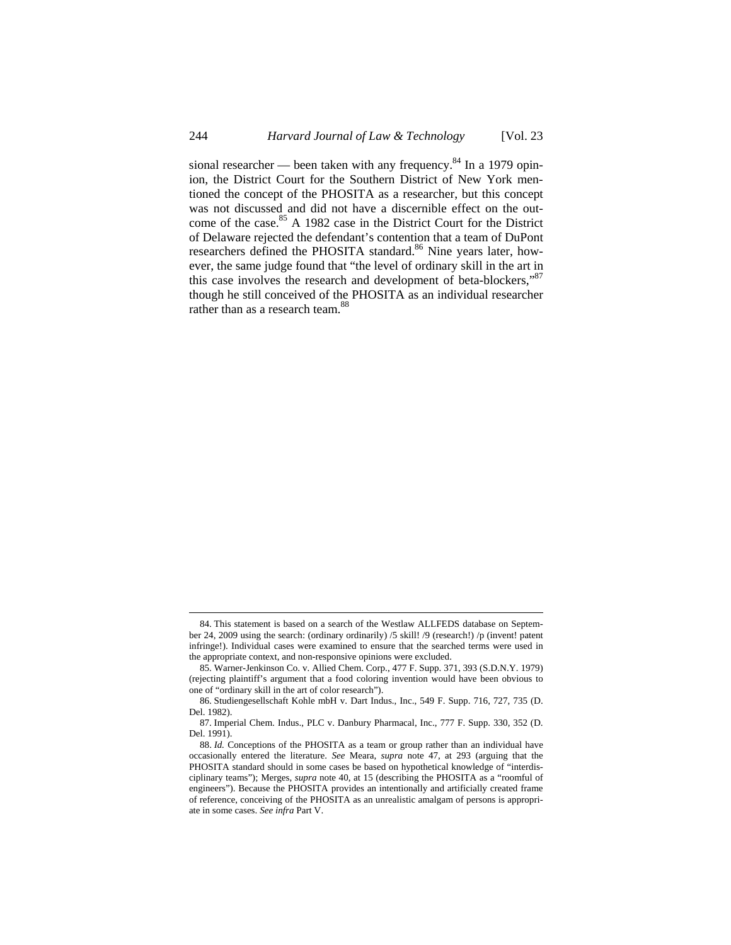sional researcher — been taken with any frequency.<sup>84</sup> In a 1979 opinion, the District Court for the Southern District of New York mentioned the concept of the PHOSITA as a researcher, but this concept was not discussed and did not have a discernible effect on the outcome of the case.<sup>85</sup> A 1982 case in the District Court for the District of Delaware rejected the defendant's contention that a team of DuPont researchers defined the PHOSITA standard.<sup>86</sup> Nine years later, however, the same judge found that "the level of ordinary skill in the art in this case involves the research and development of beta-blockers," $87$ though he still conceived of the PHOSITA as an individual researcher rather than as a research team.<sup>88</sup>

<sup>84.</sup> This statement is based on a search of the Westlaw ALLFEDS database on September 24, 2009 using the search: (ordinary ordinarily) /5 skill! /9 (research!) /p (invent! patent infringe!). Individual cases were examined to ensure that the searched terms were used in the appropriate context, and non-responsive opinions were excluded.

<sup>85.</sup> Warner-Jenkinson Co. v. Allied Chem. Corp., 477 F. Supp. 371, 393 (S.D.N.Y. 1979) (rejecting plaintiff's argument that a food coloring invention would have been obvious to one of "ordinary skill in the art of color research").

<sup>86.</sup> Studiengesellschaft Kohle mbH v. Dart Indus., Inc., 549 F. Supp. 716, 727, 735 (D. Del. 1982).

<sup>87.</sup> Imperial Chem. Indus., PLC v. Danbury Pharmacal, Inc., 777 F. Supp. 330, 352 (D. Del. 1991).

<sup>88.</sup> *Id.* Conceptions of the PHOSITA as a team or group rather than an individual have occasionally entered the literature. *See* Meara, *supra* note 47, at 293 (arguing that the PHOSITA standard should in some cases be based on hypothetical knowledge of "interdisciplinary teams"); Merges, *supra* note 40, at 15 (describing the PHOSITA as a "roomful of engineers"). Because the PHOSITA provides an intentionally and artificially created frame of reference, conceiving of the PHOSITA as an unrealistic amalgam of persons is appropriate in some cases. *See infra* Part V.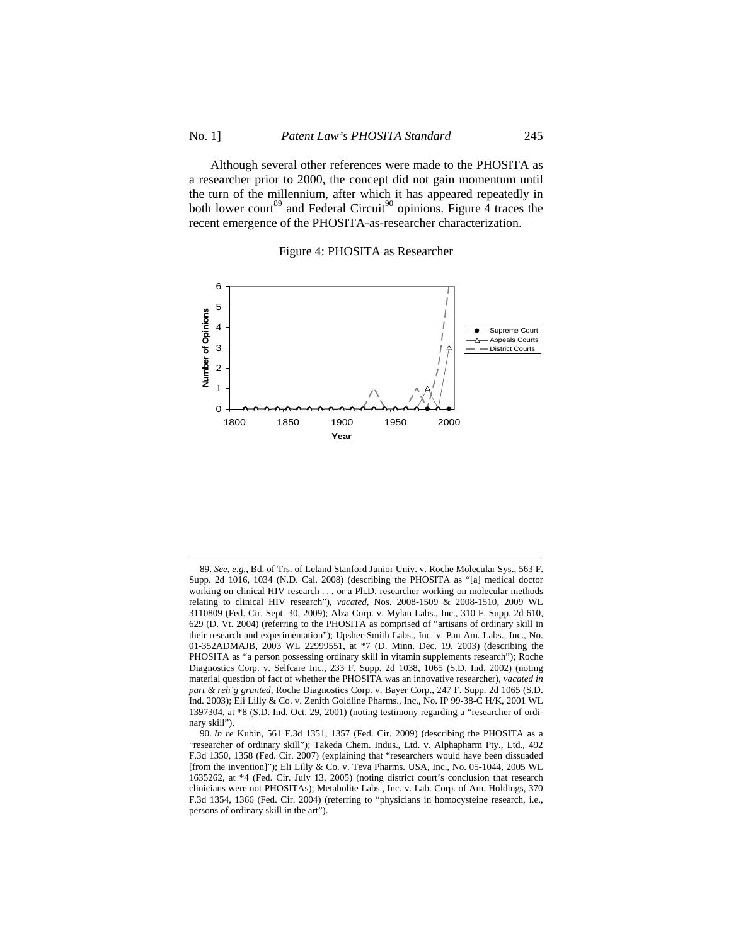Although several other references were made to the PHOSITA as a researcher prior to 2000, the concept did not gain momentum until the turn of the millennium, after which it has appeared repeatedly in both lower court<sup>89</sup> and Federal Circuit<sup>90</sup> opinions. Figure 4 traces the recent emergence of the PHOSITA-as-researcher characterization.

#### Figure 4: PHOSITA as Researcher



<sup>89.</sup> *See, e.g.*, Bd. of Trs. of Leland Stanford Junior Univ. v. Roche Molecular Sys., 563 F. Supp. 2d 1016, 1034 (N.D. Cal. 2008) (describing the PHOSITA as "[a] medical doctor working on clinical HIV research . . . or a Ph.D. researcher working on molecular methods relating to clinical HIV research"), *vacated*, Nos. 2008-1509 & 2008-1510, 2009 WL 3110809 (Fed. Cir. Sept. 30, 2009); Alza Corp. v. Mylan Labs., Inc., 310 F. Supp. 2d 610, 629 (D. Vt. 2004) (referring to the PHOSITA as comprised of "artisans of ordinary skill in their research and experimentation"); Upsher-Smith Labs., Inc. v. Pan Am. Labs., Inc., No. 01-352ADMAJB, 2003 WL 22999551, at \*7 (D. Minn. Dec. 19, 2003) (describing the PHOSITA as "a person possessing ordinary skill in vitamin supplements research"); Roche Diagnostics Corp. v. Selfcare Inc., 233 F. Supp. 2d 1038, 1065 (S.D. Ind. 2002) (noting material question of fact of whether the PHOSITA was an innovative researcher), *vacated in part & reh'g granted*, Roche Diagnostics Corp. v. Bayer Corp., 247 F. Supp. 2d 1065 (S.D. Ind. 2003); Eli Lilly & Co. v. Zenith Goldline Pharms., Inc., No. IP 99-38-C H/K, 2001 WL 1397304, at \*8 (S.D. Ind. Oct. 29, 2001) (noting testimony regarding a "researcher of ordinary skill").

<sup>90.</sup> *In re* Kubin, 561 F.3d 1351, 1357 (Fed. Cir. 2009) (describing the PHOSITA as a "researcher of ordinary skill"); Takeda Chem. Indus., Ltd. v. Alphapharm Pty., Ltd., 492 F.3d 1350, 1358 (Fed. Cir. 2007) (explaining that "researchers would have been dissuaded [from the invention]"); Eli Lilly & Co. v. Teva Pharms. USA, Inc., No. 05-1044, 2005 WL 1635262, at \*4 (Fed. Cir. July 13, 2005) (noting district court's conclusion that research clinicians were not PHOSITAs); Metabolite Labs., Inc. v. Lab. Corp. of Am. Holdings, 370 F.3d 1354, 1366 (Fed. Cir. 2004) (referring to "physicians in homocysteine research, i.e., persons of ordinary skill in the art").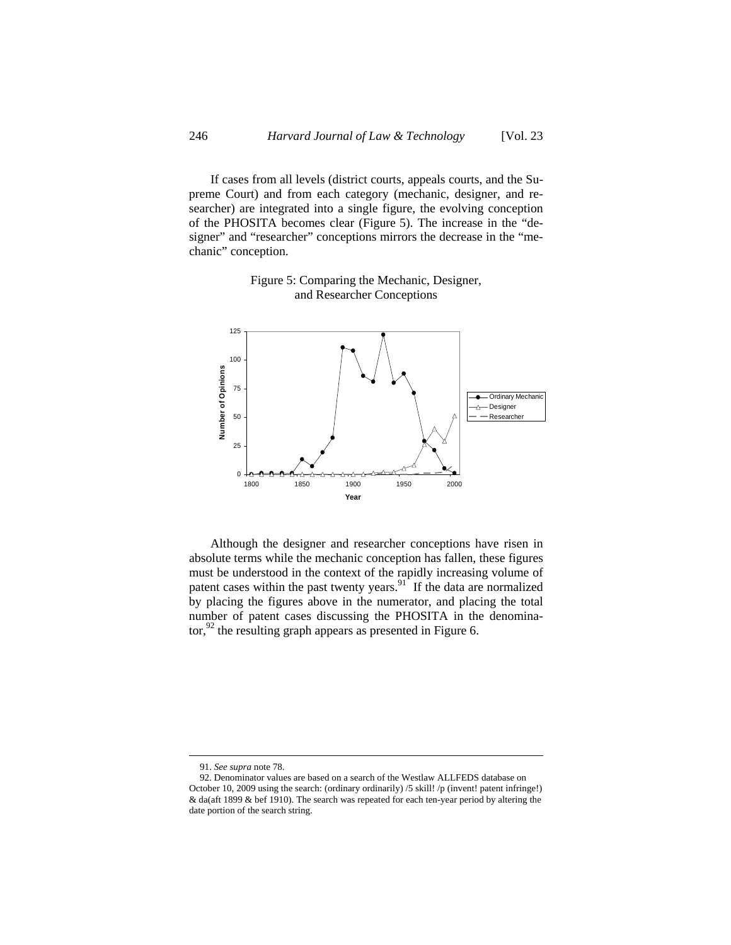If cases from all levels (district courts, appeals courts, and the Supreme Court) and from each category (mechanic, designer, and researcher) are integrated into a single figure, the evolving conception of the PHOSITA becomes clear (Figure 5). The increase in the "designer" and "researcher" conceptions mirrors the decrease in the "mechanic" conception.



# Figure 5: Comparing the Mechanic, Designer, and Researcher Conceptions

Although the designer and researcher conceptions have risen in absolute terms while the mechanic conception has fallen, these figures must be understood in the context of the rapidly increasing volume of patent cases within the past twenty years.<sup>91</sup> If the data are normalized by placing the figures above in the numerator, and placing the total number of patent cases discussing the PHOSITA in the denominator, $92$  the resulting graph appears as presented in Figure 6.

<sup>91.</sup> *See supra* note 78.

<sup>92.</sup> Denominator values are based on a search of the Westlaw ALLFEDS database on October 10, 2009 using the search: (ordinary ordinarily) /5 skill! /p (invent! patent infringe!) & da(aft 1899 & bef 1910). The search was repeated for each ten-year period by altering the date portion of the search string.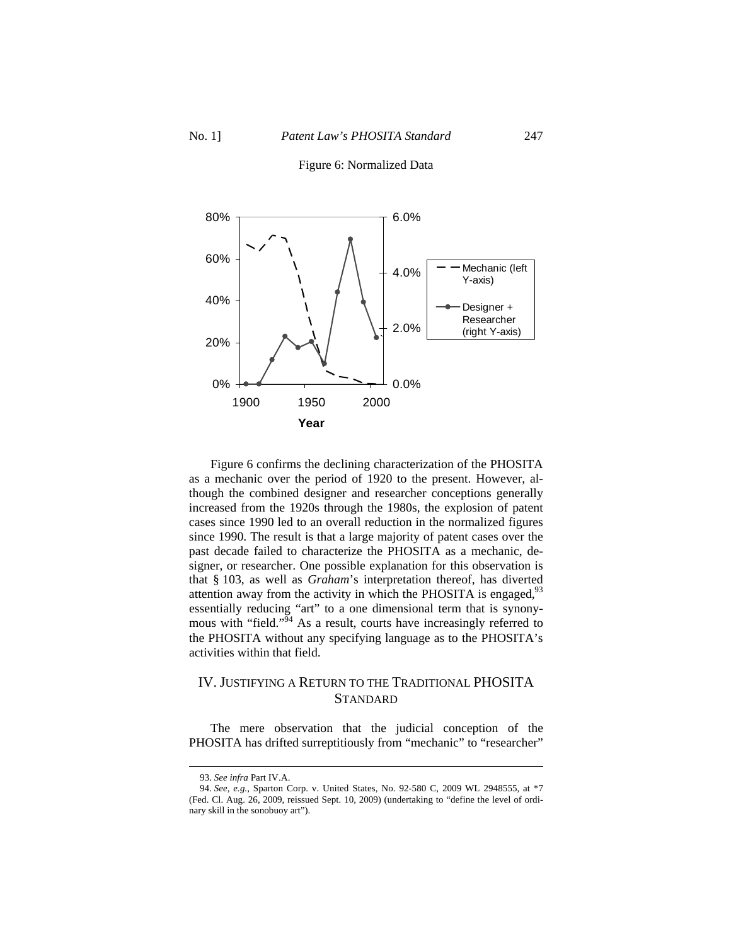# 0% 20% 40% 60% 80% 1900 1950 2000 **Year** 0.0% 2.0% 4.0% 6.0% Mechanic (left Y-axis) Designer + Researcher (right Y-axis) `

Figure 6: Normalized Data

Figure 6 confirms the declining characterization of the PHOSITA as a mechanic over the period of 1920 to the present. However, although the combined designer and researcher conceptions generally increased from the 1920s through the 1980s, the explosion of patent cases since 1990 led to an overall reduction in the normalized figures since 1990. The result is that a large majority of patent cases over the past decade failed to characterize the PHOSITA as a mechanic, designer, or researcher. One possible explanation for this observation is that § 103, as well as *Graham*'s interpretation thereof, has diverted attention away from the activity in which the PHOSITA is engaged, $93$ essentially reducing "art" to a one dimensional term that is synonymous with "field."<sup>54</sup> As a result, courts have increasingly referred to the PHOSITA without any specifying language as to the PHOSITA's activities within that field.

# IV. JUSTIFYING A RETURN TO THE TRADITIONAL PHOSITA **STANDARD**

The mere observation that the judicial conception of the PHOSITA has drifted surreptitiously from "mechanic" to "researcher"

<sup>93.</sup> *See infra* Part IV.A.

<sup>94.</sup> *See, e.g.*, Sparton Corp. v. United States, No. 92-580 C, 2009 WL 2948555, at \*7 (Fed. Cl. Aug. 26, 2009, reissued Sept. 10, 2009) (undertaking to "define the level of ordinary skill in the sonobuoy art").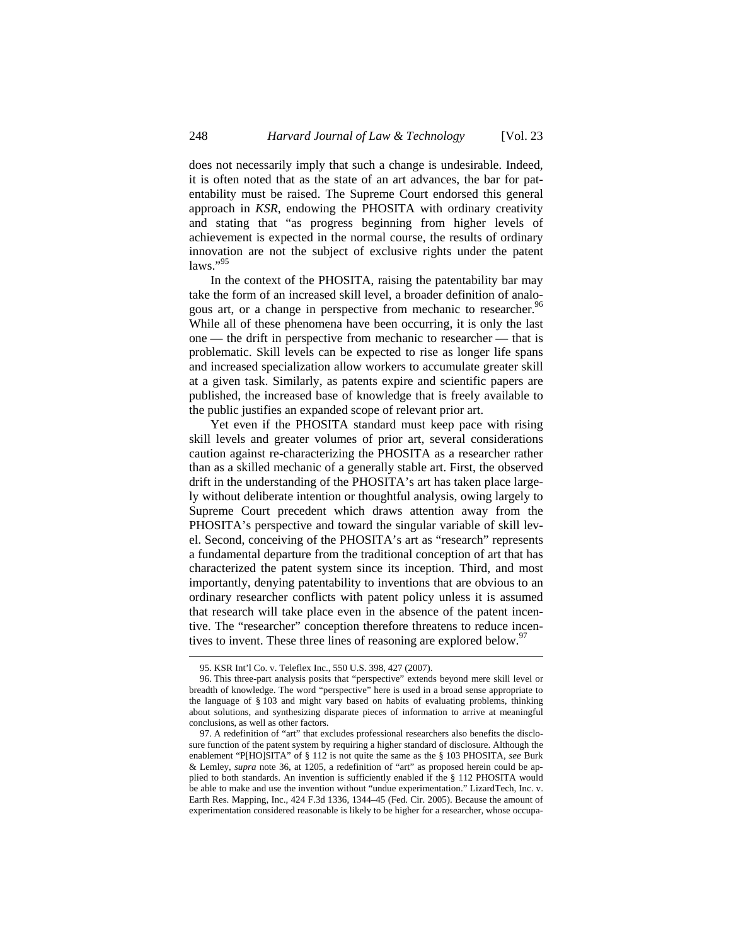does not necessarily imply that such a change is undesirable. Indeed, it is often noted that as the state of an art advances, the bar for patentability must be raised. The Supreme Court endorsed this general approach in *KSR*, endowing the PHOSITA with ordinary creativity and stating that "as progress beginning from higher levels of achievement is expected in the normal course, the results of ordinary innovation are not the subject of exclusive rights under the patent laws."<sup>95</sup>

In the context of the PHOSITA, raising the patentability bar may take the form of an increased skill level, a broader definition of analogous art, or a change in perspective from mechanic to researcher.<sup>96</sup> While all of these phenomena have been occurring, it is only the last one — the drift in perspective from mechanic to researcher — that is problematic. Skill levels can be expected to rise as longer life spans and increased specialization allow workers to accumulate greater skill at a given task. Similarly, as patents expire and scientific papers are published, the increased base of knowledge that is freely available to the public justifies an expanded scope of relevant prior art.

Yet even if the PHOSITA standard must keep pace with rising skill levels and greater volumes of prior art, several considerations caution against re-characterizing the PHOSITA as a researcher rather than as a skilled mechanic of a generally stable art. First, the observed drift in the understanding of the PHOSITA's art has taken place largely without deliberate intention or thoughtful analysis, owing largely to Supreme Court precedent which draws attention away from the PHOSITA's perspective and toward the singular variable of skill level. Second, conceiving of the PHOSITA's art as "research" represents a fundamental departure from the traditional conception of art that has characterized the patent system since its inception. Third, and most importantly, denying patentability to inventions that are obvious to an ordinary researcher conflicts with patent policy unless it is assumed that research will take place even in the absence of the patent incentive. The "researcher" conception therefore threatens to reduce incentives to invent. These three lines of reasoning are explored below.<sup>97</sup>

<sup>95.</sup> KSR Int'l Co. v. Teleflex Inc., 550 U.S. 398, 427 (2007).

<sup>96.</sup> This three-part analysis posits that "perspective" extends beyond mere skill level or breadth of knowledge. The word "perspective" here is used in a broad sense appropriate to the language of § 103 and might vary based on habits of evaluating problems, thinking about solutions, and synthesizing disparate pieces of information to arrive at meaningful conclusions, as well as other factors.

<sup>97.</sup> A redefinition of "art" that excludes professional researchers also benefits the disclosure function of the patent system by requiring a higher standard of disclosure. Although the enablement "P[HO]SITA" of § 112 is not quite the same as the § 103 PHOSITA, *see* Burk & Lemley, *supra* note 36, at 1205, a redefinition of "art" as proposed herein could be applied to both standards. An invention is sufficiently enabled if the § 112 PHOSITA would be able to make and use the invention without "undue experimentation." LizardTech, Inc. v. Earth Res. Mapping, Inc., 424 F.3d 1336, 1344–45 (Fed. Cir. 2005). Because the amount of experimentation considered reasonable is likely to be higher for a researcher, whose occupa-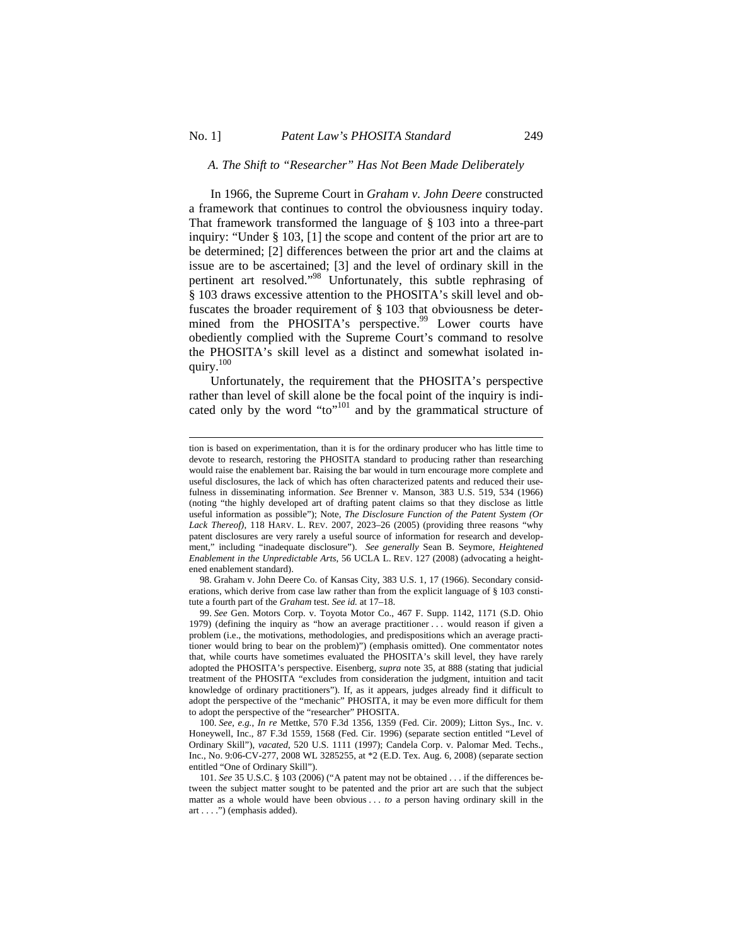$\overline{a}$ 

## *A. The Shift to "Researcher" Has Not Been Made Deliberately*

In 1966, the Supreme Court in *Graham v. John Deere* constructed a framework that continues to control the obviousness inquiry today. That framework transformed the language of § 103 into a three-part inquiry: "Under § 103, [1] the scope and content of the prior art are to be determined; [2] differences between the prior art and the claims at issue are to be ascertained; [3] and the level of ordinary skill in the pertinent art resolved."98 Unfortunately, this subtle rephrasing of § 103 draws excessive attention to the PHOSITA's skill level and obfuscates the broader requirement of § 103 that obviousness be determined from the PHOSITA's perspective.<sup>99</sup> Lower courts have obediently complied with the Supreme Court's command to resolve the PHOSITA's skill level as a distinct and somewhat isolated inquiry.100

Unfortunately, the requirement that the PHOSITA's perspective rather than level of skill alone be the focal point of the inquiry is indicated only by the word "to"<sup>101</sup> and by the grammatical structure of

tion is based on experimentation, than it is for the ordinary producer who has little time to devote to research, restoring the PHOSITA standard to producing rather than researching would raise the enablement bar. Raising the bar would in turn encourage more complete and useful disclosures, the lack of which has often characterized patents and reduced their usefulness in disseminating information. *See* Brenner v. Manson, 383 U.S. 519, 534 (1966) (noting "the highly developed art of drafting patent claims so that they disclose as little useful information as possible"); Note, *The Disclosure Function of the Patent System (Or Lack Thereof)*, 118 HARV. L. REV. 2007, 2023–26 (2005) (providing three reasons "why patent disclosures are very rarely a useful source of information for research and development," including "inadequate disclosure"). *See generally* Sean B. Seymore, *Heightened Enablement in the Unpredictable Arts*, 56 UCLA L. REV. 127 (2008) (advocating a heightened enablement standard).

<sup>98.</sup> Graham v. John Deere Co. of Kansas City, 383 U.S. 1, 17 (1966). Secondary considerations, which derive from case law rather than from the explicit language of § 103 constitute a fourth part of the *Graham* test. *See id.* at 17–18.

<sup>99.</sup> *See* Gen. Motors Corp. v. Toyota Motor Co., 467 F. Supp. 1142, 1171 (S.D. Ohio 1979) (defining the inquiry as "how an average practitioner . . . would reason if given a problem (i.e., the motivations, methodologies, and predispositions which an average practitioner would bring to bear on the problem)") (emphasis omitted). One commentator notes that, while courts have sometimes evaluated the PHOSITA's skill level, they have rarely adopted the PHOSITA's perspective. Eisenberg, *supra* note 35, at 888 (stating that judicial treatment of the PHOSITA "excludes from consideration the judgment, intuition and tacit knowledge of ordinary practitioners"). If, as it appears, judges already find it difficult to adopt the perspective of the "mechanic" PHOSITA, it may be even more difficult for them to adopt the perspective of the "researcher" PHOSITA.

<sup>100.</sup> *See, e.g.*, *In re* Mettke, 570 F.3d 1356, 1359 (Fed. Cir. 2009); Litton Sys., Inc. v. Honeywell, Inc., 87 F.3d 1559, 1568 (Fed. Cir. 1996) (separate section entitled "Level of Ordinary Skill"), *vacated*, 520 U.S. 1111 (1997); Candela Corp. v. Palomar Med. Techs., Inc., No. 9:06-CV-277, 2008 WL 3285255, at \*2 (E.D. Tex. Aug. 6, 2008) (separate section entitled "One of Ordinary Skill").

<sup>101.</sup> *See* 35 U.S.C. § 103 (2006) ("A patent may not be obtained . . . if the differences between the subject matter sought to be patented and the prior art are such that the subject matter as a whole would have been obvious . . . *to* a person having ordinary skill in the art . . . .") (emphasis added).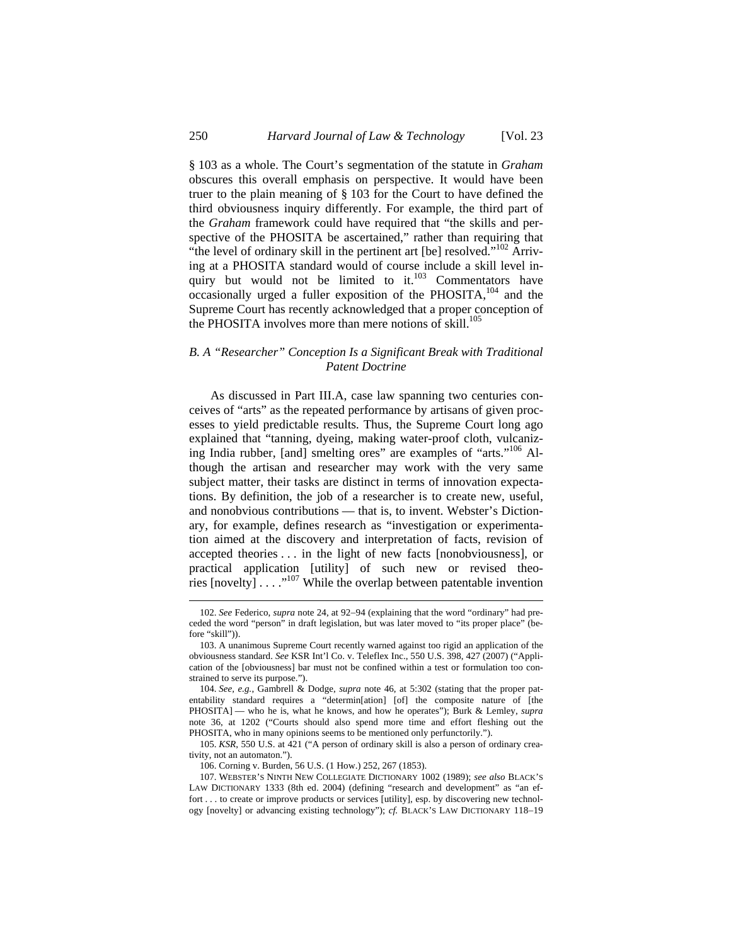§ 103 as a whole. The Court's segmentation of the statute in *Graham* obscures this overall emphasis on perspective. It would have been truer to the plain meaning of § 103 for the Court to have defined the third obviousness inquiry differently. For example, the third part of the *Graham* framework could have required that "the skills and perspective of the PHOSITA be ascertained," rather than requiring that "the level of ordinary skill in the pertinent art [be] resolved."<sup>102</sup> Arriving at a PHOSITA standard would of course include a skill level inquiry but would not be limited to it. $103$  Commentators have occasionally urged a fuller exposition of the PHOSITA, $^{104}$  and the Supreme Court has recently acknowledged that a proper conception of the PHOSITA involves more than mere notions of skill.<sup>105</sup>

## *B. A "Researcher" Conception Is a Significant Break with Traditional Patent Doctrine*

As discussed in Part III.A, case law spanning two centuries conceives of "arts" as the repeated performance by artisans of given processes to yield predictable results. Thus, the Supreme Court long ago explained that "tanning, dyeing, making water-proof cloth, vulcanizing India rubber, [and] smelting ores" are examples of "arts."<sup>106</sup> Although the artisan and researcher may work with the very same subject matter, their tasks are distinct in terms of innovation expectations. By definition, the job of a researcher is to create new, useful, and nonobvious contributions — that is, to invent. Webster's Dictionary, for example, defines research as "investigation or experimentation aimed at the discovery and interpretation of facts, revision of accepted theories . . . in the light of new facts [nonobviousness], or practical application [utility] of such new or revised theories  $[novelty] \ldots$ ...<sup>107</sup> While the overlap between patentable invention

<sup>102.</sup> See Federico, *supra* note 24, at 92-94 (explaining that the word "ordinary" had preceded the word "person" in draft legislation, but was later moved to "its proper place" (before "skill")).

<sup>103.</sup> A unanimous Supreme Court recently warned against too rigid an application of the obviousness standard. *See* KSR Int'l Co. v. Teleflex Inc., 550 U.S. 398, 427 (2007) ("Application of the [obviousness] bar must not be confined within a test or formulation too constrained to serve its purpose.").

<sup>104.</sup> *See, e.g.*, Gambrell & Dodge, *supra* note 46, at 5:302 (stating that the proper patentability standard requires a "determin[ation] [of] the composite nature of [the PHOSITA] — who he is, what he knows, and how he operates"); Burk & Lemley, *supra* note 36, at 1202 ("Courts should also spend more time and effort fleshing out the PHOSITA, who in many opinions seems to be mentioned only perfunctorily.").

<sup>105.</sup> *KSR*, 550 U.S. at 421 ("A person of ordinary skill is also a person of ordinary creativity, not an automaton.").

<sup>106.</sup> Corning v. Burden, 56 U.S. (1 How.) 252, 267 (1853).

<sup>107.</sup> WEBSTER'S NINTH NEW COLLEGIATE DICTIONARY 1002 (1989); *see also* BLACK'S LAW DICTIONARY 1333 (8th ed. 2004) (defining "research and development" as "an effort . . . to create or improve products or services [utility], esp. by discovering new technology [novelty] or advancing existing technology"); *cf.* BLACK'S LAW DICTIONARY 118-19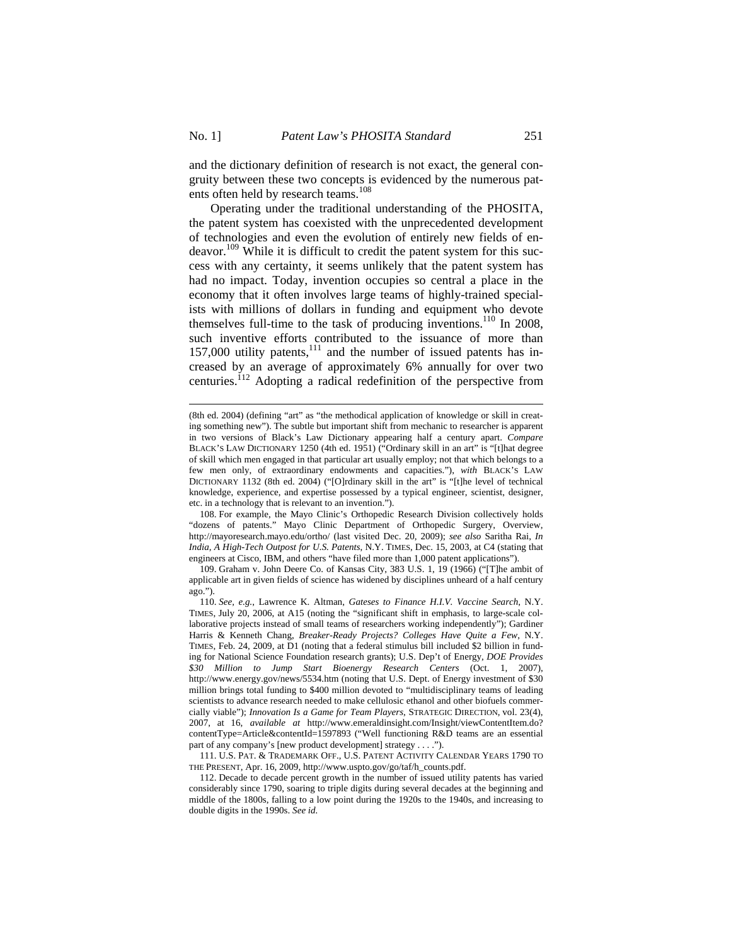$\overline{a}$ 

and the dictionary definition of research is not exact, the general congruity between these two concepts is evidenced by the numerous patents often held by research teams.<sup>108</sup>

Operating under the traditional understanding of the PHOSITA, the patent system has coexisted with the unprecedented development of technologies and even the evolution of entirely new fields of endeavor.<sup>109</sup> While it is difficult to credit the patent system for this success with any certainty, it seems unlikely that the patent system has had no impact. Today, invention occupies so central a place in the economy that it often involves large teams of highly-trained specialists with millions of dollars in funding and equipment who devote themselves full-time to the task of producing inventions.<sup>110</sup> In 2008, such inventive efforts contributed to the issuance of more than 157,000 utility patents, $111$  and the number of issued patents has increased by an average of approximately 6% annually for over two centuries.<sup>112</sup> Adopting a radical redefinition of the perspective from

108. For example, the Mayo Clinic's Orthopedic Research Division collectively holds "dozens of patents." Mayo Clinic Department of Orthopedic Surgery, Overview, http://mayoresearch.mayo.edu/ortho/ (last visited Dec. 20, 2009); *see also* Saritha Rai, *In India, A High-Tech Outpost for U.S. Patents*, N.Y. TIMES, Dec. 15, 2003, at C4 (stating that engineers at Cisco, IBM, and others "have filed more than 1,000 patent applications").

109. Graham v. John Deere Co. of Kansas City, 383 U.S. 1, 19 (1966) ("[T]he ambit of applicable art in given fields of science has widened by disciplines unheard of a half century ago.").

111. U.S. PAT. & TRADEMARK OFF., U.S. PATENT ACTIVITY CALENDAR YEARS 1790 TO THE PRESENT, Apr. 16, 2009, http://www.uspto.gov/go/taf/h\_counts.pdf.

<sup>(8</sup>th ed. 2004) (defining "art" as "the methodical application of knowledge or skill in creating something new"). The subtle but important shift from mechanic to researcher is apparent in two versions of Black's Law Dictionary appearing half a century apart. *Compare*  BLACK'S LAW DICTIONARY 1250 (4th ed. 1951) ("Ordinary skill in an art" is "[t]hat degree of skill which men engaged in that particular art usually employ; not that which belongs to a few men only, of extraordinary endowments and capacities."), *with* BLACK'S LAW DICTIONARY 1132 (8th ed. 2004) ("[O]rdinary skill in the art" is "[t]he level of technical knowledge, experience, and expertise possessed by a typical engineer, scientist, designer, etc. in a technology that is relevant to an invention.").

<sup>110.</sup> *See, e.g.*, Lawrence K. Altman, *Gateses to Finance H.I.V. Vaccine Search*, N.Y. TIMES, July 20, 2006, at A15 (noting the "significant shift in emphasis, to large-scale collaborative projects instead of small teams of researchers working independently"); Gardiner Harris & Kenneth Chang, *Breaker-Ready Projects? Colleges Have Quite a Few*, N.Y. TIMES, Feb. 24, 2009, at D1 (noting that a federal stimulus bill included \$2 billion in funding for National Science Foundation research grants); U.S. Dep't of Energy, *DOE Provides \$30 Million to Jump Start Bioenergy Research Centers* (Oct. 1, 2007), http://www.energy.gov/news/5534.htm (noting that U.S. Dept. of Energy investment of \$30 million brings total funding to \$400 million devoted to "multidisciplinary teams of leading scientists to advance research needed to make cellulosic ethanol and other biofuels commercially viable"); *Innovation Is a Game for Team Players*, STRATEGIC DIRECTION, vol. 23(4), 2007, at 16, *available at* http://www.emeraldinsight.com/Insight/viewContentItem.do? contentType=Article&contentId=1597893 ("Well functioning R&D teams are an essential part of any company's [new product development] strategy . . . .").

<sup>112.</sup> Decade to decade percent growth in the number of issued utility patents has varied considerably since 1790, soaring to triple digits during several decades at the beginning and middle of the 1800s, falling to a low point during the 1920s to the 1940s, and increasing to double digits in the 1990s. *See id.*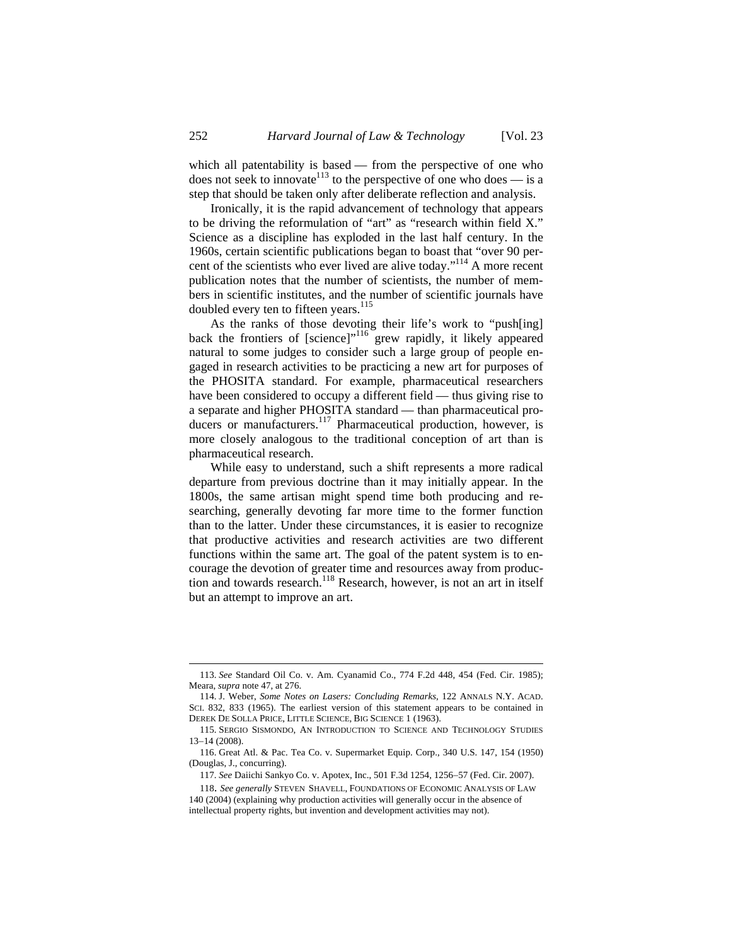which all patentability is based — from the perspective of one who does not seek to innovate  $113$  to the perspective of one who does — is a step that should be taken only after deliberate reflection and analysis.

Ironically, it is the rapid advancement of technology that appears to be driving the reformulation of "art" as "research within field X." Science as a discipline has exploded in the last half century. In the 1960s, certain scientific publications began to boast that "over 90 percent of the scientists who ever lived are alive today."<sup>114</sup> A more recent publication notes that the number of scientists, the number of members in scientific institutes, and the number of scientific journals have doubled every ten to fifteen years.<sup>115</sup>

As the ranks of those devoting their life's work to "push[ing] back the frontiers of [science]"<sup>116</sup> grew rapidly, it likely appeared natural to some judges to consider such a large group of people engaged in research activities to be practicing a new art for purposes of the PHOSITA standard. For example, pharmaceutical researchers have been considered to occupy a different field — thus giving rise to a separate and higher PHOSITA standard — than pharmaceutical producers or manufacturers.<sup>117</sup> Pharmaceutical production, however, is more closely analogous to the traditional conception of art than is pharmaceutical research.

While easy to understand, such a shift represents a more radical departure from previous doctrine than it may initially appear. In the 1800s, the same artisan might spend time both producing and researching, generally devoting far more time to the former function than to the latter. Under these circumstances, it is easier to recognize that productive activities and research activities are two different functions within the same art. The goal of the patent system is to encourage the devotion of greater time and resources away from production and towards research.<sup>118</sup> Research, however, is not an art in itself but an attempt to improve an art.

<sup>113.</sup> *See* Standard Oil Co. v. Am. Cyanamid Co., 774 F.2d 448, 454 (Fed. Cir. 1985); Meara, *supra* note 47, at 276.

<sup>114.</sup> J. Weber, *Some Notes on Lasers: Concluding Remarks*, 122 ANNALS N.Y. ACAD. SCI. 832, 833 (1965). The earliest version of this statement appears to be contained in DEREK DE SOLLA PRICE, LITTLE SCIENCE, BIG SCIENCE 1 (1963).

<sup>115.</sup> SERGIO SISMONDO, AN INTRODUCTION TO SCIENCE AND TECHNOLOGY STUDIES  $13-14(2008)$ .

<sup>116.</sup> Great Atl. & Pac. Tea Co. v. Supermarket Equip. Corp., 340 U.S. 147, 154 (1950) (Douglas, J., concurring).

<sup>117.</sup> *See Daiichi Sankyo Co. v. Apotex, Inc., 501 F.3d 1254, 1256-57 (Fed. Cir. 2007).* 

<sup>118.</sup> *See generally* STEVEN SHAVELL, FOUNDATIONS OF ECONOMIC ANALYSIS OF LAW 140 (2004) (explaining why production activities will generally occur in the absence of intellectual property rights, but invention and development activities may not).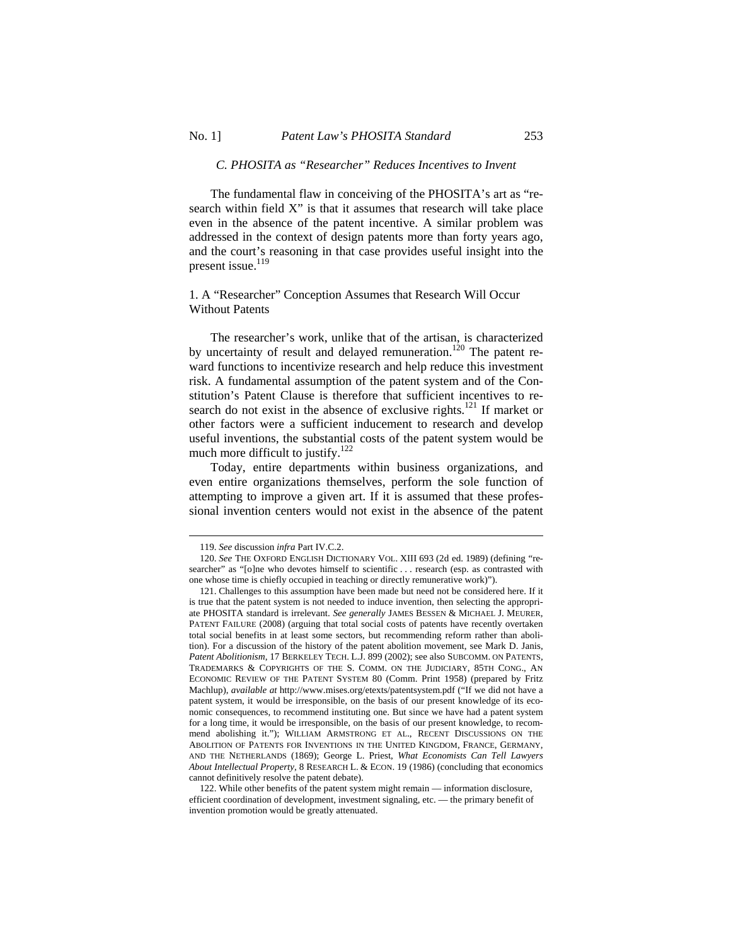### *C. PHOSITA as "Researcher" Reduces Incentives to Invent*

The fundamental flaw in conceiving of the PHOSITA's art as "research within field X" is that it assumes that research will take place even in the absence of the patent incentive. A similar problem was addressed in the context of design patents more than forty years ago, and the court's reasoning in that case provides useful insight into the present issue.<sup>119</sup>

## 1. A "Researcher" Conception Assumes that Research Will Occur Without Patents

The researcher's work, unlike that of the artisan, is characterized by uncertainty of result and delayed remuneration.<sup>120</sup> The patent reward functions to incentivize research and help reduce this investment risk. A fundamental assumption of the patent system and of the Constitution's Patent Clause is therefore that sufficient incentives to research do not exist in the absence of exclusive rights.<sup>121</sup> If market or other factors were a sufficient inducement to research and develop useful inventions, the substantial costs of the patent system would be much more difficult to justify. $122$ 

Today, entire departments within business organizations, and even entire organizations themselves, perform the sole function of attempting to improve a given art. If it is assumed that these professional invention centers would not exist in the absence of the patent

<sup>119.</sup> *See* discussion *infra* Part IV.C.2.

<sup>120.</sup> *See* THE OXFORD ENGLISH DICTIONARY VOL. XIII 693 (2d ed. 1989) (defining "researcher" as "[o]ne who devotes himself to scientific . . . research (esp. as contrasted with one whose time is chiefly occupied in teaching or directly remunerative work)").

<sup>121.</sup> Challenges to this assumption have been made but need not be considered here. If it is true that the patent system is not needed to induce invention, then selecting the appropriate PHOSITA standard is irrelevant. *See generally* JAMES BESSEN & MICHAEL J. MEURER, PATENT FAILURE (2008) (arguing that total social costs of patents have recently overtaken total social benefits in at least some sectors, but recommending reform rather than abolition). For a discussion of the history of the patent abolition movement, see Mark D. Janis, *Patent Abolitionism*, 17 BERKELEY TECH. L.J. 899 (2002); see also SUBCOMM. ON PATENTS, TRADEMARKS & COPYRIGHTS OF THE S. COMM. ON THE JUDICIARY, 85TH CONG., AN ECONOMIC REVIEW OF THE PATENT SYSTEM 80 (Comm. Print 1958) (prepared by Fritz Machlup), *available at* http://www.mises.org/etexts/patentsystem.pdf ("If we did not have a patent system, it would be irresponsible, on the basis of our present knowledge of its economic consequences, to recommend instituting one. But since we have had a patent system for a long time, it would be irresponsible, on the basis of our present knowledge, to recommend abolishing it."); WILLIAM ARMSTRONG ET AL., RECENT DISCUSSIONS ON THE ABOLITION OF PATENTS FOR INVENTIONS IN THE UNITED KINGDOM, FRANCE, GERMANY, AND THE NETHERLANDS (1869); George L. Priest, *What Economists Can Tell Lawyers About Intellectual Property*, 8 RESEARCH L. & ECON. 19 (1986) (concluding that economics cannot definitively resolve the patent debate).

<sup>122.</sup> While other benefits of the patent system might remain — information disclosure, efficient coordination of development, investment signaling, etc. — the primary benefit of invention promotion would be greatly attenuated.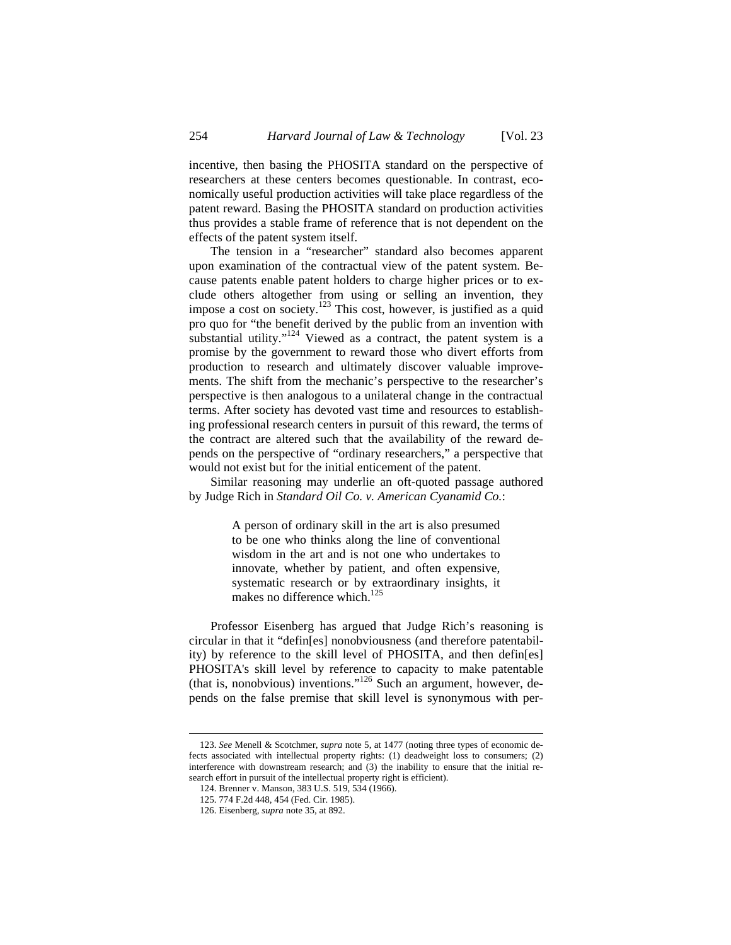incentive, then basing the PHOSITA standard on the perspective of researchers at these centers becomes questionable. In contrast, economically useful production activities will take place regardless of the patent reward. Basing the PHOSITA standard on production activities thus provides a stable frame of reference that is not dependent on the effects of the patent system itself.

The tension in a "researcher" standard also becomes apparent upon examination of the contractual view of the patent system. Because patents enable patent holders to charge higher prices or to exclude others altogether from using or selling an invention, they impose a cost on society.<sup>123</sup> This cost, however, is justified as a quid pro quo for "the benefit derived by the public from an invention with substantial utility."<sup>124</sup> Viewed as a contract, the patent system is a promise by the government to reward those who divert efforts from production to research and ultimately discover valuable improvements. The shift from the mechanic's perspective to the researcher's perspective is then analogous to a unilateral change in the contractual terms. After society has devoted vast time and resources to establishing professional research centers in pursuit of this reward, the terms of the contract are altered such that the availability of the reward depends on the perspective of "ordinary researchers," a perspective that would not exist but for the initial enticement of the patent.

Similar reasoning may underlie an oft-quoted passage authored by Judge Rich in *Standard Oil Co. v. American Cyanamid Co.*:

> A person of ordinary skill in the art is also presumed to be one who thinks along the line of conventional wisdom in the art and is not one who undertakes to innovate, whether by patient, and often expensive, systematic research or by extraordinary insights, it makes no difference which.<sup>125</sup>

Professor Eisenberg has argued that Judge Rich's reasoning is circular in that it "defin[es] nonobviousness (and therefore patentability) by reference to the skill level of PHOSITA, and then defin[es] PHOSITA's skill level by reference to capacity to make patentable (that is, nonobvious) inventions."126 Such an argument, however, depends on the false premise that skill level is synonymous with per-

<sup>123.</sup> *See* Menell & Scotchmer, *supra* note 5, at 1477 (noting three types of economic defects associated with intellectual property rights: (1) deadweight loss to consumers; (2) interference with downstream research; and (3) the inability to ensure that the initial research effort in pursuit of the intellectual property right is efficient).

<sup>124.</sup> Brenner v. Manson, 383 U.S. 519, 534 (1966).

<sup>125. 774</sup> F.2d 448, 454 (Fed. Cir. 1985).

<sup>126.</sup> Eisenberg, *supra* note 35, at 892.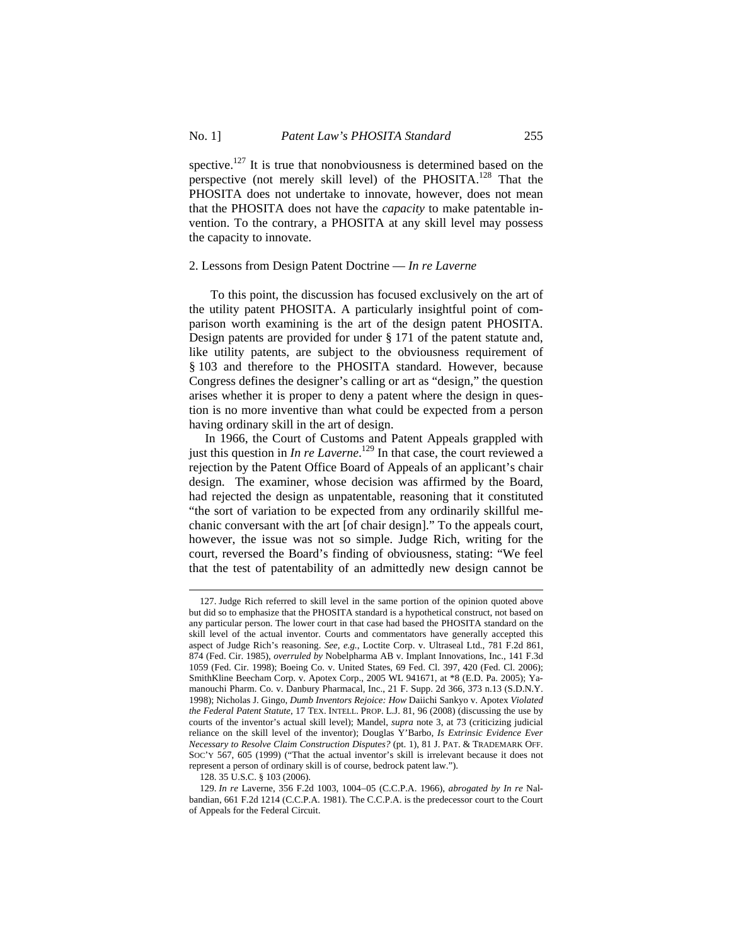spective.<sup>127</sup> It is true that nonobviousness is determined based on the perspective (not merely skill level) of the PHOSITA.<sup>128</sup> That the PHOSITA does not undertake to innovate, however, does not mean that the PHOSITA does not have the *capacity* to make patentable invention. To the contrary, a PHOSITA at any skill level may possess the capacity to innovate.

#### 2. Lessons from Design Patent Doctrine — *In re Laverne*

To this point, the discussion has focused exclusively on the art of the utility patent PHOSITA. A particularly insightful point of comparison worth examining is the art of the design patent PHOSITA. Design patents are provided for under § 171 of the patent statute and, like utility patents, are subject to the obviousness requirement of § 103 and therefore to the PHOSITA standard. However, because Congress defines the designer's calling or art as "design," the question arises whether it is proper to deny a patent where the design in question is no more inventive than what could be expected from a person having ordinary skill in the art of design.

In 1966, the Court of Customs and Patent Appeals grappled with just this question in *In re Laverne*.<sup>129</sup> In that case, the court reviewed a rejection by the Patent Office Board of Appeals of an applicant's chair design. The examiner, whose decision was affirmed by the Board, had rejected the design as unpatentable, reasoning that it constituted "the sort of variation to be expected from any ordinarily skillful mechanic conversant with the art [of chair design]." To the appeals court, however, the issue was not so simple. Judge Rich, writing for the court, reversed the Board's finding of obviousness, stating: "We feel that the test of patentability of an admittedly new design cannot be

<sup>127.</sup> Judge Rich referred to skill level in the same portion of the opinion quoted above but did so to emphasize that the PHOSITA standard is a hypothetical construct, not based on any particular person. The lower court in that case had based the PHOSITA standard on the skill level of the actual inventor. Courts and commentators have generally accepted this aspect of Judge Rich's reasoning. *See, e.g.*, Loctite Corp. v. Ultraseal Ltd., 781 F.2d 861, 874 (Fed. Cir. 1985), *overruled by* Nobelpharma AB v. Implant Innovations, Inc., 141 F.3d 1059 (Fed. Cir. 1998); Boeing Co. v. United States, 69 Fed. Cl. 397, 420 (Fed. Cl. 2006); SmithKline Beecham Corp. v. Apotex Corp., 2005 WL 941671, at \*8 (E.D. Pa. 2005); Yamanouchi Pharm. Co. v. Danbury Pharmacal, Inc., 21 F. Supp. 2d 366, 373 n.13 (S.D.N.Y. 1998); Nicholas J. Gingo, *Dumb Inventors Rejoice: How* Daiichi Sankyo v. Apotex *Violated the Federal Patent Statute*, 17 TEX. INTELL. PROP. L.J. 81, 96 (2008) (discussing the use by courts of the inventor's actual skill level); Mandel, *supra* note 3, at 73 (criticizing judicial reliance on the skill level of the inventor); Douglas Y'Barbo, *Is Extrinsic Evidence Ever Necessary to Resolve Claim Construction Disputes?* (pt. 1), 81 J. PAT. & TRADEMARK OFF. SOC'Y 567, 605 (1999) ("That the actual inventor's skill is irrelevant because it does not represent a person of ordinary skill is of course, bedrock patent law.").

<sup>128. 35</sup> U.S.C. § 103 (2006).

<sup>129.</sup> *In re* Laverne, 356 F.2d 1003, 1004-05 (C.C.P.A. 1966), *abrogated by In re* Nalbandian, 661 F.2d 1214 (C.C.P.A. 1981). The C.C.P.A. is the predecessor court to the Court of Appeals for the Federal Circuit.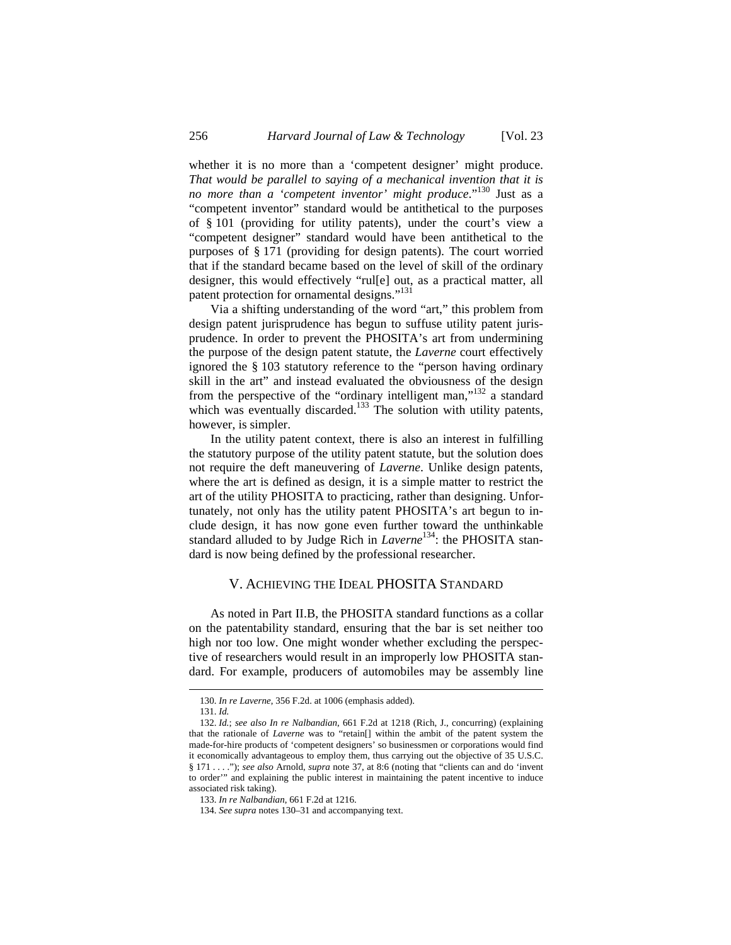whether it is no more than a 'competent designer' might produce. *That would be parallel to saying of a mechanical invention that it is no more than a 'competent inventor' might produce*."<sup>130</sup> Just as a "competent inventor" standard would be antithetical to the purposes of § 101 (providing for utility patents), under the court's view a "competent designer" standard would have been antithetical to the purposes of § 171 (providing for design patents). The court worried that if the standard became based on the level of skill of the ordinary designer, this would effectively "rul[e] out, as a practical matter, all patent protection for ornamental designs."<sup>131</sup>

Via a shifting understanding of the word "art," this problem from design patent jurisprudence has begun to suffuse utility patent jurisprudence. In order to prevent the PHOSITA's art from undermining the purpose of the design patent statute, the *Laverne* court effectively ignored the § 103 statutory reference to the "person having ordinary skill in the art" and instead evaluated the obviousness of the design from the perspective of the "ordinary intelligent man,"<sup>132</sup> a standard which was eventually discarded.<sup>133</sup> The solution with utility patents, however, is simpler.

In the utility patent context, there is also an interest in fulfilling the statutory purpose of the utility patent statute, but the solution does not require the deft maneuvering of *Laverne*. Unlike design patents, where the art is defined as design, it is a simple matter to restrict the art of the utility PHOSITA to practicing, rather than designing. Unfortunately, not only has the utility patent PHOSITA's art begun to include design, it has now gone even further toward the unthinkable standard alluded to by Judge Rich in *Laverne*<sup>134</sup>: the PHOSITA standard is now being defined by the professional researcher.

# V. ACHIEVING THE IDEAL PHOSITA STANDARD

As noted in Part II.B, the PHOSITA standard functions as a collar on the patentability standard, ensuring that the bar is set neither too high nor too low. One might wonder whether excluding the perspective of researchers would result in an improperly low PHOSITA standard. For example, producers of automobiles may be assembly line

<sup>130.</sup> *In re Laverne*, 356 F.2d. at 1006 (emphasis added).

<sup>131.</sup> *Id.*

<sup>132.</sup> *Id.*; *see also In re Nalbandian*, 661 F.2d at 1218 (Rich, J., concurring) (explaining that the rationale of *Laverne* was to "retain[] within the ambit of the patent system the made-for-hire products of 'competent designers' so businessmen or corporations would find it economically advantageous to employ them, thus carrying out the objective of 35 U.S.C. § 171 . . . ."); *see also* Arnold, *supra* note 37, at 8:6 (noting that "clients can and do 'invent to order'" and explaining the public interest in maintaining the patent incentive to induce associated risk taking).

<sup>133.</sup> *In re Nalbandian*, 661 F.2d at 1216.

<sup>134.</sup> *See supra* notes 130–31 and accompanying text.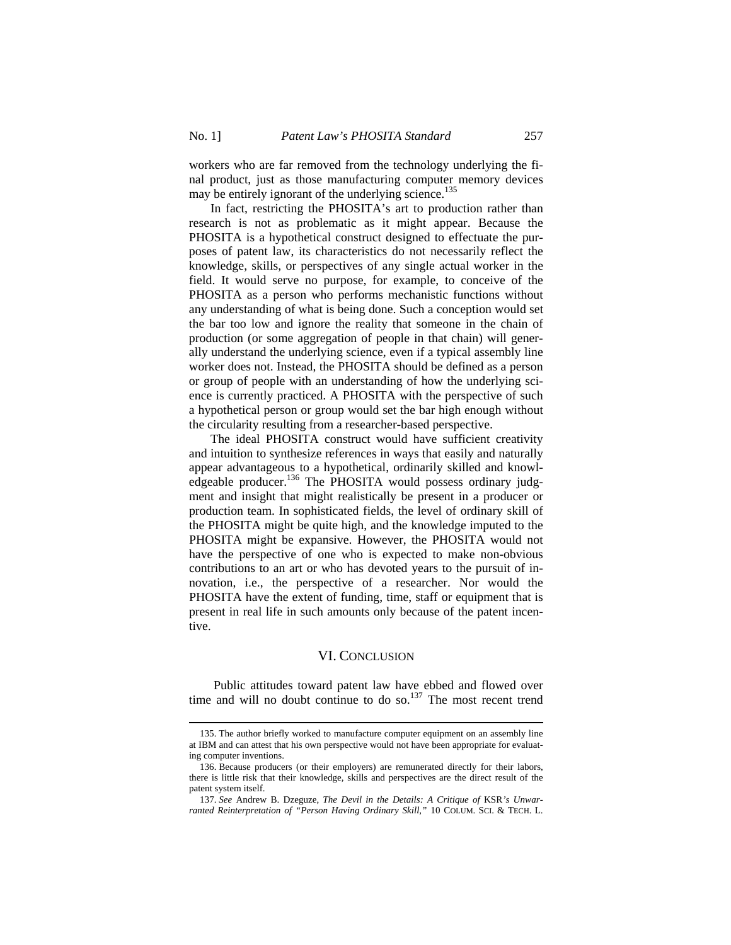$\overline{a}$ 

workers who are far removed from the technology underlying the final product, just as those manufacturing computer memory devices may be entirely ignorant of the underlying science.<sup>135</sup>

In fact, restricting the PHOSITA's art to production rather than research is not as problematic as it might appear. Because the PHOSITA is a hypothetical construct designed to effectuate the purposes of patent law, its characteristics do not necessarily reflect the knowledge, skills, or perspectives of any single actual worker in the field. It would serve no purpose, for example, to conceive of the PHOSITA as a person who performs mechanistic functions without any understanding of what is being done. Such a conception would set the bar too low and ignore the reality that someone in the chain of production (or some aggregation of people in that chain) will generally understand the underlying science, even if a typical assembly line worker does not. Instead, the PHOSITA should be defined as a person or group of people with an understanding of how the underlying science is currently practiced. A PHOSITA with the perspective of such a hypothetical person or group would set the bar high enough without the circularity resulting from a researcher-based perspective.

The ideal PHOSITA construct would have sufficient creativity and intuition to synthesize references in ways that easily and naturally appear advantageous to a hypothetical, ordinarily skilled and knowledgeable producer.<sup>136</sup> The PHOSITA would possess ordinary judgment and insight that might realistically be present in a producer or production team. In sophisticated fields, the level of ordinary skill of the PHOSITA might be quite high, and the knowledge imputed to the PHOSITA might be expansive. However, the PHOSITA would not have the perspective of one who is expected to make non-obvious contributions to an art or who has devoted years to the pursuit of innovation, i.e., the perspective of a researcher. Nor would the PHOSITA have the extent of funding, time, staff or equipment that is present in real life in such amounts only because of the patent incentive.

# VI. CONCLUSION

 Public attitudes toward patent law have ebbed and flowed over time and will no doubt continue to do so.<sup>137</sup> The most recent trend

<sup>135.</sup> The author briefly worked to manufacture computer equipment on an assembly line at IBM and can attest that his own perspective would not have been appropriate for evaluating computer inventions.

<sup>136.</sup> Because producers (or their employers) are remunerated directly for their labors, there is little risk that their knowledge, skills and perspectives are the direct result of the patent system itself.

<sup>137.</sup> *See* Andrew B. Dzeguze, *The Devil in the Details: A Critique of* KSR*'s Unwarranted Reinterpretation of "Person Having Ordinary Skill*,*"* 10 COLUM. SCI. & TECH. L.